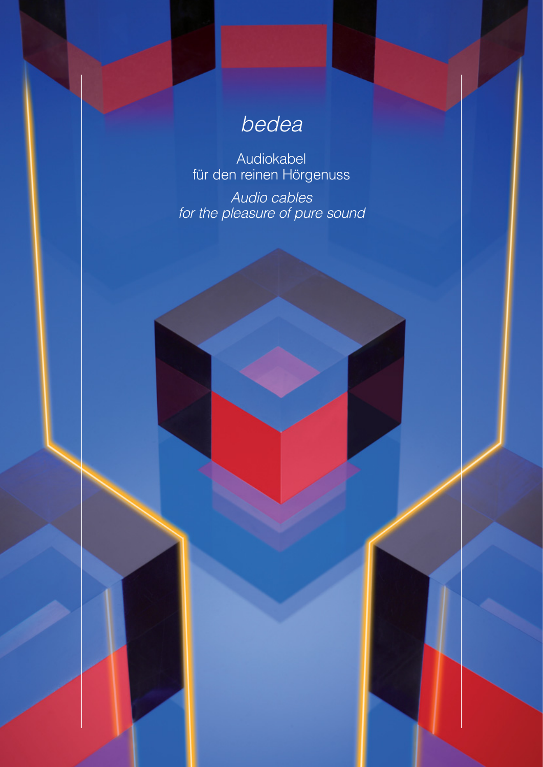# bedea

Audiokabel für den reinen Hörgenuss

Audio cables for the pleasure of pure sound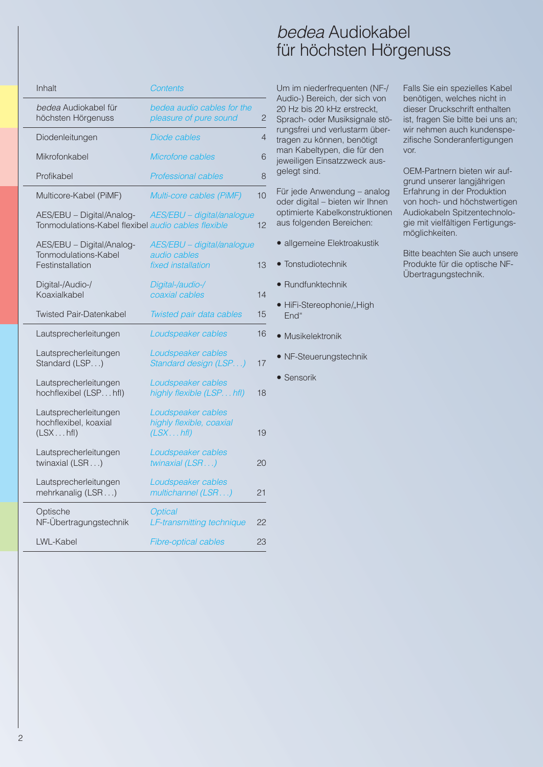## bedea Audiokabel für höchsten Hörgenuss

| Inhalt                                                                           | Contents                                                         |    |
|----------------------------------------------------------------------------------|------------------------------------------------------------------|----|
| bedea Audiokabel für<br>höchsten Hörgenuss                                       | bedea audio cables for the<br>pleasure of pure sound             | 2  |
| Diodenleitungen                                                                  | Diode cables                                                     | 4  |
| Mikrofonkabel                                                                    | Microfone cables                                                 | 6  |
| Profikabel                                                                       | <b>Professional cables</b>                                       | 8  |
| Multicore-Kabel (PiMF)                                                           | Multi-core cables (PiMF)                                         | 10 |
| AES/EBU - Digital/Analog-<br>Tonmodulations-Kabel flexibel audio cables flexible | AES/EBU - digital/analogue                                       | 12 |
| AES/EBU - Digital/Analog-<br>Tonmodulations-Kabel<br>Festinstallation            | AES/EBU - digital/analogue<br>audio cables<br>fixed installation | 13 |
| Digital-/Audio-/<br>Koaxialkabel                                                 | Digital-/audio-/<br>coaxial cables                               | 14 |
| <b>Twisted Pair-Datenkabel</b>                                                   | Twisted pair data cables                                         | 15 |
| Lautsprecherleitungen                                                            | Loudspeaker cables                                               | 16 |
| Lautsprecherleitungen<br>Standard (LSP)                                          | Loudspeaker cables<br>Standard design (LSP)                      | 17 |
| Lautsprecherleitungen<br>hochflexibel (LSPhfl)                                   | Loudspeaker cables<br>highly flexible (LSPhfl)                   | 18 |
| Lautsprecherleitungen<br>hochflexibel, koaxial<br>(LSXhfl)                       | Loudspeaker cables<br>highly flexible, coaxial<br>(LSXhfl)       | 19 |
| Lautsprecherleitungen<br>twinaxial (LSR )                                        | Loudspeaker cables<br>twinaxial (LSR)                            | 20 |
| Lautsprecherleitungen<br>mehrkanalig (LSR)                                       | Loudspeaker cables<br>multichannel (LSR)                         | 21 |
| Optische<br>NF-Übertragungstechnik                                               | <b>Optical</b><br>LF-transmitting technique                      | 22 |
| <b>LWL-Kabel</b>                                                                 | <b>Fibre-optical cables</b>                                      | 23 |

Um im niederfrequenten (NF-/ Audio-) Bereich, der sich von 20 Hz bis 20 kHz erstreckt, Sprach- oder Musiksignale störungsfrei und verlustarm übertragen zu können, benötigt man Kabeltypen, die für den jeweiligen Einsatzzweck ausgelegt sind.

Für jede Anwendung – analog oder digital – bieten wir Ihnen optimierte Kabelkonstruktionen aus folgenden Bereichen:

- allgemeine Elektroakustik
- Tonstudiotechnik
- Rundfunktechnik
- HiFi-Stereophonie/"High End"
- Musikelektronik
- NF-Steuerungstechnik
- Sensorik

Falls Sie ein spezielles Kabel benötigen, welches nicht in dieser Druckschrift enthalten ist, fragen Sie bitte bei uns an; wir nehmen auch kundenspezifische Sonderanfertigungen vor.

OEM-Partnern bieten wir aufgrund unserer langjährigen Erfahrung in der Produktion von hoch- und höchstwertigen Audiokabeln Spitzentechnologie mit vielfältigen Fertigungsmöglichkeiten.

Bitte beachten Sie auch unsere Produkte für die optische NF-Übertragungstechnik.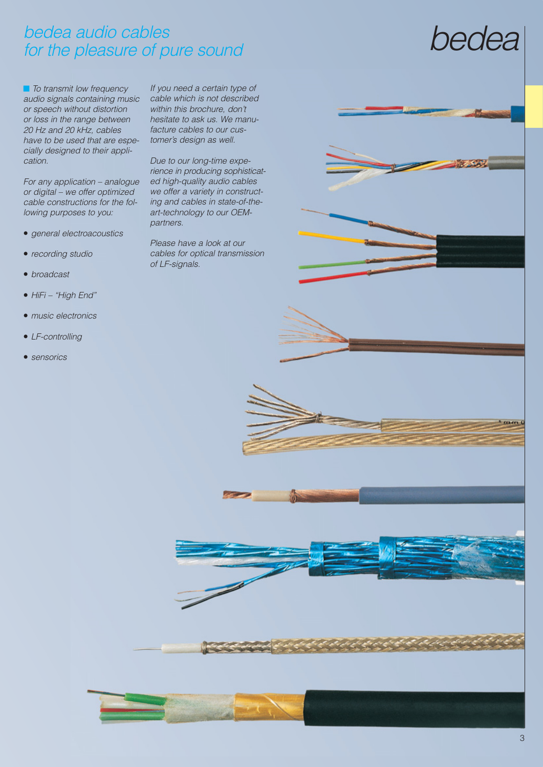# bedea audio cables for the pleasure of pure sound

■ To transmit low frequency audio signals containing music or speech without distortion or loss in the range between 20 Hz and 20 kHz, cables have to be used that are especially designed to their application.

For any application – analogue or digital – we offer optimized cable constructions for the following purposes to you:

- general electroacoustics
- recording studio
- broadcast
- HiFi "High End"
- music electronics
- LF-controlling
- sensorics

If you need a certain type of cable which is not described within this brochure, don't hesitate to ask us. We manufacture cables to our customer's design as well.

Due to our long-time experience in producing sophisticated high-quality audio cables we offer a variety in constructing and cables in state-of-theart-technology to our OEMpartners.

Please have a look at our cables for optical transmission of LF-signals.

# bedea



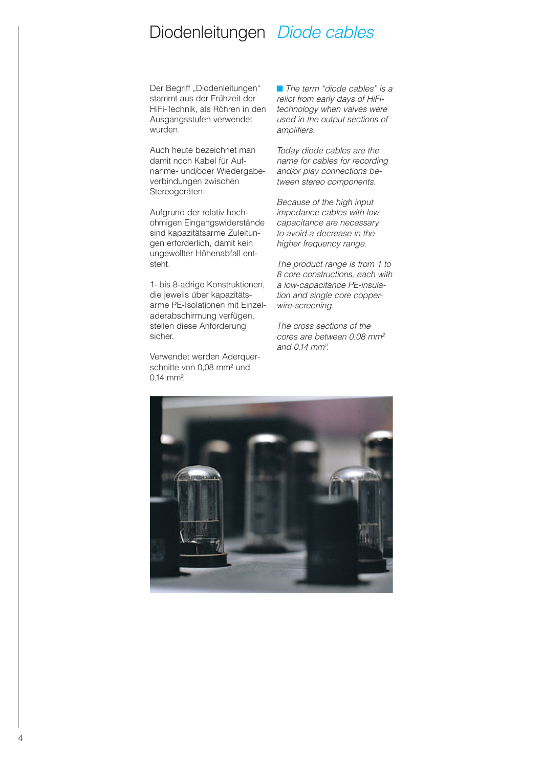### Diodenleitungen Diode cables

Der Begriff "Diodenleitungen" stammt aus der Frühzeit der HiFi-Technik, als Röhren in den Ausgangsstufen verwendet wurden.

Auch heute bezeichnet man damit noch Kabel für Aufnahme- und/oder Wiedergabeverbindungen zwischen Stereogeräten.

Aufgrund der relativ hochohmigen Eingangs widerstände sind kapazitätsarme Zuleitungen erforderlich, damit kein ungewollter Höhenabfall entsteht.

1- bis 8-adrige Konstruktionen, die jeweils über kapazitätsarme PE-Isolationen mit Einzel aderabschirmung verfügen, stellen diese Anforderung sicher.

Verwendet werden Aderquerschnitte von 0,08 mm2 und 0,14 mm<sup>2</sup>.

■ The term "diode cables" is a relict from early days of HiFitechnology when valves were used in the output sections of amplifiers.

Today diode cables are the name for cables for recording and/or play connections be tween stereo components.

Because of the high input impedance cables with low capacitance are necessary to avoid a decrease in the higher frequency range.

The product range is from 1 to 8 core constructions, each with a low-capacitance PE-insulation and single core copperwire-screening.

The cross sections of the cores are between 0.08 mm<sup>2</sup> and 0.14 mm<sup>2</sup>.

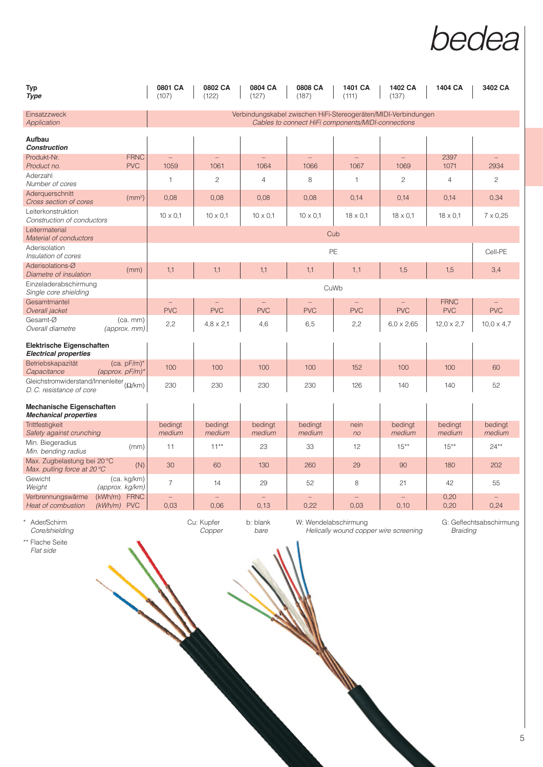# bedea

| <b>Typ</b><br><b>Type</b>                                                  |                                                 | 0801 CA<br>(107)     | 0802 CA<br>(122)       | 0804 CA<br>(127)       | 0808 CA<br>(187)  | 1401 CA<br>(111)                                   | 1402 CA<br>(137)                                               | 1404 CA                   | 3402 CA                       |
|----------------------------------------------------------------------------|-------------------------------------------------|----------------------|------------------------|------------------------|-------------------|----------------------------------------------------|----------------------------------------------------------------|---------------------------|-------------------------------|
| Einsatzzweck<br>Application                                                |                                                 |                      |                        |                        |                   | Cables to connect HiFi components/MIDI-connections | Verbindungskabel zwischen HiFi-Stereogeräten/MIDI-Verbindungen |                           |                               |
| Aufbau<br><b>Construction</b>                                              |                                                 |                      |                        |                        |                   |                                                    |                                                                |                           |                               |
| Produkt-Nr.                                                                | <b>FRNC</b>                                     |                      |                        |                        |                   |                                                    |                                                                | 2397                      |                               |
| Product no.<br>Aderzahl<br>Number of cores                                 | <b>PVC</b>                                      | 1059<br>$\mathbf{1}$ | 1061<br>$\overline{c}$ | 1064<br>$\overline{4}$ | 1066<br>8         | 1067<br>$\mathbf{1}$                               | 1069<br>$\overline{c}$                                         | 1071<br>$\overline{4}$    | 2934<br>$\mathbf{2}^{\prime}$ |
| Aderquerschnitt<br>Cross section of cores                                  | (mm <sup>2</sup> )                              | 0.08                 | 0.08                   | 0,08                   | 0,08              | 0.14                                               | 0.14                                                           | 0.14                      | 0,34                          |
| Leiterkonstruktion<br>Construction of conductors                           |                                                 | $10 \times 0,1$      | $10 \times 0.1$        | $10 \times 0,1$        | $10 \times 0.1$   | $18 \times 0.1$                                    | $18 \times 0.1$                                                | $18 \times 0,1$           | $7 \times 0,25$               |
| Leitermaterial<br>Material of conductors                                   |                                                 |                      |                        |                        | Cub               |                                                    |                                                                |                           |                               |
| Aderisolation<br>Insulation of cores                                       | PE                                              |                      |                        |                        |                   |                                                    |                                                                |                           | Cell-PE                       |
| Aderisolations-Ø<br>Diametre of insulation                                 | (mm)                                            | 1,1                  | 1,1                    | 1,1                    | 1,1               | 1,1                                                | 1,5                                                            | 1,5                       | 3,4                           |
| Einzeladerabschirmung<br>Single core shielding                             | CuWb                                            |                      |                        |                        |                   |                                                    |                                                                |                           |                               |
| Gesamtmantel<br>Overall jacket                                             |                                                 | <b>PVC</b>           | <b>PVC</b>             | <b>PVC</b>             | <b>PVC</b>        | <b>PVC</b>                                         | <b>PVC</b>                                                     | <b>FRNC</b><br><b>PVC</b> | <b>PVC</b>                    |
| Gesamt-Ø<br>Overall diametre                                               | $(ca.$ mm $)$<br>(approx. mm)                   | 2,2                  | $4,8 \times 2,1$       | 4,6                    | 6,5               | 2,2                                                | $6,0 \times 2,65$                                              | $12,0 \times 2,7$         | $10.0 \times 4.7$             |
| <b>Elektrische Eigenschaften</b><br><b>Electrical properties</b>           |                                                 |                      |                        |                        |                   |                                                    |                                                                |                           |                               |
| Betriebskapazität<br>Capacitance                                           | $(ca. pF/m)^*$<br>(approx. $pF/m$ )*            | 100                  | 100                    | 100                    | 100               | 152                                                | 100                                                            | 100                       | 60                            |
| Gleichstromwiderstand/Innenleiter $(\Omega/km)$<br>D.C. resistance of core |                                                 | 230                  | 230                    | 230                    | 230               | 126                                                | 140                                                            | 140                       | 52                            |
| Mechanische Eigenschaften<br><b>Mechanical properties</b>                  |                                                 |                      |                        |                        |                   |                                                    |                                                                |                           |                               |
| <b>Trittfestigkeit</b><br>Safety against crunching                         |                                                 | bedingt<br>medium    | bedingt<br>medium      | bedingt<br>medium      | bedingt<br>medium | nein<br>n <sub>o</sub>                             | bedingt<br>medium                                              | bedingt<br>medium         | bedingt<br>medium             |
| Min. Biegeradius<br>Min. bending radius                                    | (mm)                                            | 11                   | $11**$                 | 23                     | 33                | 12                                                 | $15***$                                                        | $15***$                   | $24***$                       |
| Max. Zugbelastung bei 20 °C<br>Max. pulling force at 20 °C                 | (N)                                             | 30                   | 60                     | 130                    | 260               | 29                                                 | 90                                                             | 180                       | 202                           |
| Gewicht<br>Weight                                                          | (ca. kg/km)<br>(approx. kg/km)                  | $\overline{7}$       | 14                     | 29                     | 52                | 8                                                  | 21                                                             | 42                        | 55                            |
| Verbrennungswärme<br><b>Heat of combustion</b>                             | <b>FRNC</b><br>(kWh/m)<br><b>PVC</b><br>(kWh/m) | 0,03                 | 0,06                   | 0,13                   | 0,22              | 0,03                                               | 0,10                                                           | 0,20<br>0,20              | 0,24                          |

\* Ader/Schirm Cu: Kupfer b: blank W: Wendelabschirmung G: Geflechtsabschirmung Core/shielding Corper bare Helically wound copper wire screening Braiding Braiding

**Contract Contract Contract Contract Contract Contract Contract Contract Contract Contract Contract Contract C** 

\*\* Flache Seite Flat side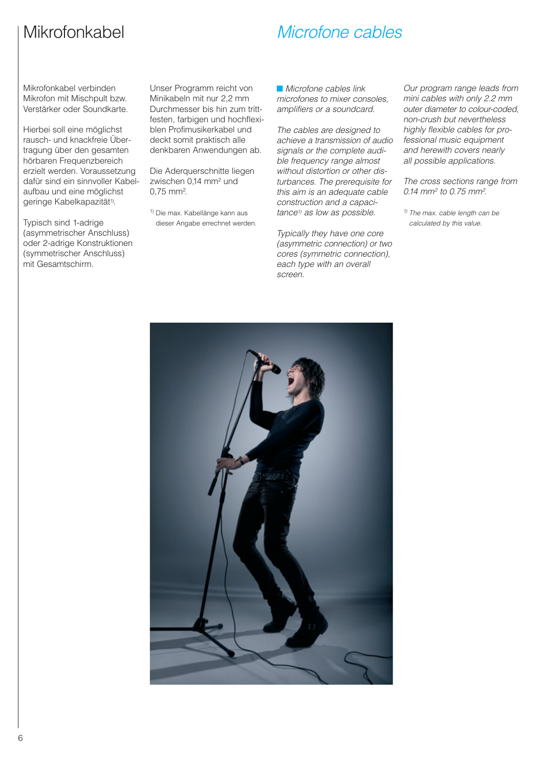# Mikrofonkabel

## Microfone cables

Mikrofonkabel verbinden Mikrofon mit Mischpult bzw. Verstärker oder Soundkarte.

Hierbei soll eine möglichst rausch- und knackfreie Über tragung über den gesamten hörbaren Frequenzbereich erzielt werden. Voraussetzung dafür sind ein sinnvoller Kabelaufbau und eine möglichst geringe Kabelkapazität<sup>1)</sup>.

Typisch sind 1-adrige (asym metrischer Anschluss) oder 2-adrige Konstruktionen (sym metrischer Anschluss) mit Gesamtschirm.

Unser Programm reicht von Minikabeln mit nur 2,2 mm Durchmesser bis hin zum trittfesten, farbigen und hochflexiblen Profimusikerkabel und deckt somit praktisch alle denkbaren Anwendungen ab.

Die Aderquerschnitte liegen zwischen 0,14 mm2 und 0,75 mm2 .

1) Die max. Kabellänge kann aus dieser Angabe errechnet werden. ■ Microfone cables link microfones to mixer consoles, amplifiers or a soundcard.

The cables are designed to achieve a transmission of audio signals or the complete audible frequency range almost without distortion or other disturbances. The prerequisite for this aim is an adequate cable construction and a capacitance<sup>1)</sup> as low as possible.

Typically they have one core (asymmetric connection) or two cores (symmetric connection), each type with an overall screen.

Our program range leads from mini cables with only 2.2 mm outer diameter to colour-coded, non-crush but nevertheless highly flexible cables for professional music equipment and herewith covers nearly all possible applications.

The cross sections range from 0.14 mm<sup>2</sup> to 0.75 mm<sup>2</sup>.

 $1)$  The max. cable length can be calculated by this value.



6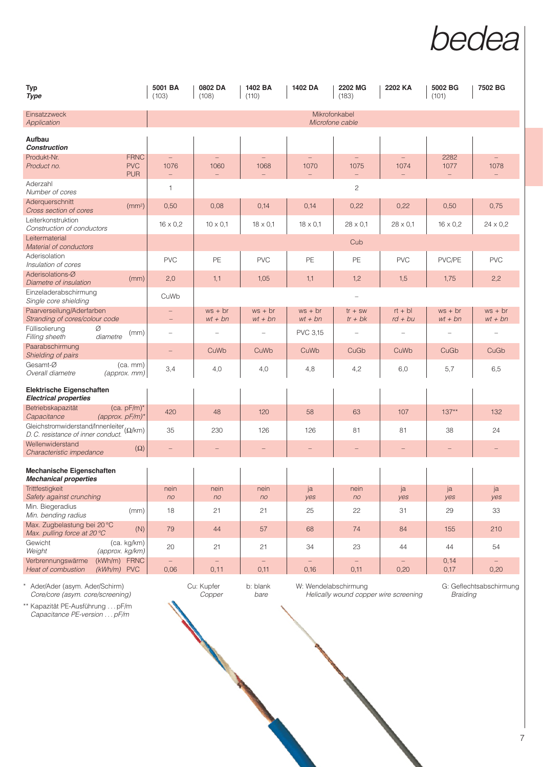

| <b>Typ</b><br><b>Type</b>                                                      | 5001 BA<br>(103)       | 0802 DA<br>(108)                 | 1402 BA<br>(110)          | 1402 DA                   | 2202 MG<br>(183)                             | 2202 KA                   | 5002 BG<br>(101)       | 7502 BG                  |
|--------------------------------------------------------------------------------|------------------------|----------------------------------|---------------------------|---------------------------|----------------------------------------------|---------------------------|------------------------|--------------------------|
| Einsatzzweck<br>Application                                                    |                        |                                  |                           |                           | Mikrofonkabel<br>Microfone cable             |                           |                        |                          |
| Aufbau<br><b>Construction</b>                                                  |                        |                                  |                           |                           |                                              |                           |                        |                          |
| Produkt-Nr.<br><b>FRNC</b><br><b>PVC</b><br>Product no.<br><b>PUR</b>          | 1076<br>$-$            | $\overline{\phantom{0}}$<br>1060 | $\qquad \qquad -$<br>1068 | $\qquad \qquad -$<br>1070 | $\overline{\phantom{m}}$<br>1075<br>$\equiv$ | $\qquad \qquad -$<br>1074 | 2282<br>1077           | 1078                     |
| Aderzahl<br>Number of cores                                                    | 1                      |                                  |                           |                           | $\mathbf{2}$                                 |                           |                        |                          |
| Aderquerschnitt<br>(mm <sup>2</sup> )<br>Cross section of cores                | 0,50                   | 0,08                             | 0,14                      | 0,14                      | 0,22                                         | 0,22                      | 0,50                   | 0,75                     |
| Leiterkonstruktion<br>Construction of conductors                               | $16 \times 0,2$        | $10 \times 0.1$                  | $18 \times 0,1$           | $18 \times 0.1$           | $28 \times 0.1$                              | $28 \times 0.1$           | $16 \times 0.2$        | $24 \times 0,2$          |
| Leitermaterial<br>Material of conductors                                       |                        |                                  |                           |                           | Cub                                          |                           |                        |                          |
| Aderisolation<br>Insulation of cores                                           | <b>PVC</b>             | PE                               | <b>PVC</b>                | <b>PE</b>                 | PE                                           | <b>PVC</b>                | PVC/PE                 | <b>PVC</b>               |
| Aderisolations-Ø<br>(mm)<br>Diametre of insulation                             | 2,0                    | 1, 1                             | 1,05                      | 1,1                       | 1,2                                          | 1,5                       | 1,75                   | 2,2                      |
| Einzeladerabschirmung<br>Single core shielding                                 | CuWb                   |                                  |                           |                           |                                              |                           |                        |                          |
| Paarverseilung/Aderfarben<br>Stranding of cores/colour code                    | $\qquad \qquad -$      | $ws + br$<br>$wt + bn$           | $ws + br$<br>$wt + bn$    | $ws + br$<br>$wt + bn$    | $tr + sw$<br>$tr + bk$                       | $rt + bl$<br>$rd + bu$    | $ws + br$<br>$wt + bn$ | $ws + br$<br>$wt + bn$   |
| Füllisolierung<br>Ø<br>(mm)<br>Filling sheeth<br>diametre                      |                        |                                  |                           | <b>PVC 3.15</b>           |                                              |                           |                        | $\overline{\phantom{0}}$ |
| Paarabschirmung<br>Shielding of pairs                                          |                        | CuWb                             | CuWb                      | CuWb                      | CuGb                                         | CuWb                      | CuGb                   | CuGb                     |
| Gesamt-Ø<br>$(ca.$ mm $)$<br>Overall diametre<br>$(approx.$ mm $)$             | 3,4                    | 4,0                              | 4,0                       | 4,8                       | 4,2                                          | 6,0                       | 5,7                    | 6,5                      |
| Elektrische Eigenschaften<br><b>Electrical properties</b>                      |                        |                                  |                           |                           |                                              |                           |                        |                          |
| Betriebskapazität<br>$(ca. pF/m)^*$<br>(approx. $pF/m$ )*<br>Capacitance       | 420                    | 48                               | 120                       | 58                        | 63                                           | 107                       | $137**$                | 132                      |
| Gleichstromwiderstand/Innenleiter (Q/km)<br>D. C. resistance of inner conduct. | 35                     | 230                              | 126                       | 126                       | 81                                           | 81                        | 38                     | 24                       |
| Wellenwiderstand<br>$(\Omega)$<br>Characteristic impedance                     |                        |                                  |                           |                           |                                              |                           |                        |                          |
| Mechanische Eigenschaften<br><b>Mechanical properties</b>                      |                        |                                  |                           |                           |                                              |                           |                        |                          |
| Trittfestigkeit<br>Safety against crunching                                    | nein<br>n <sub>O</sub> | nein<br>n <sub>O</sub>           | nein<br>no                | ja<br>yes                 | nein<br>no                                   | ja<br>yes                 | ja<br>yes              | ja<br>yes                |
| Min. Biegeradius<br>(mm)<br>Min. bending radius                                | 18                     | 21                               | 21                        | 25                        | 22                                           | 31                        | 29                     | 33                       |
| Max. Zugbelastung bei 20 °C<br>(N)<br>Max. pulling force at 20 °C              | 79                     | 44                               | 57                        | 68                        | 74                                           | 84                        | 155                    | 210                      |
| Gewicht<br>(ca. kg/km)<br>Weight<br>(approx. kg/km)                            | 20                     | 21                               | 21                        | 34                        | 23                                           | 44                        | 44                     | 54                       |
| (kWh/m) FRNC<br>Verbrennungswärme<br>Heat of combustion<br>$(kWh/m)$ PVC       | $\equiv$<br>0,06       | $\overline{\phantom{0}}$<br>0,11 | 0,11                      | 0,16                      | 0,11                                         | 0,20                      | 0,14<br>0,17           | 0,20                     |

\*\* Kapazität PE-Ausführung . . . pF/m Capacitance PE-version . . . pF/m

\* Ader/Ader (asym. Ader/Schirm) Cu: Kupfer b: blank W: Wendelabschirmung G: Geflechtsabschirmung

Core/core (asym. core/screening) Copper bare Helically wound copper wire screening Braiding

7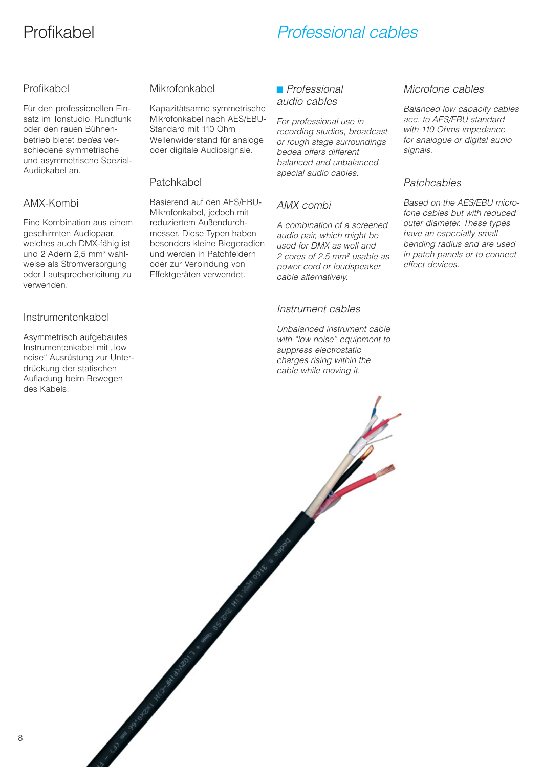# Profikabel

# Professional cables

#### Profikabel

Für den professionellen Einsatz im Tonstudio, Rundfunk oder den rauen Bühnen betrieb bietet bedea verschiedene symmetrische und asymmetrische Spezial-Audio kabel an.

#### AMX-Kombi

Eine Kombination aus einem geschirmten Audiopaar, welches auch DMX-fähig ist und 2 Adern 2,5 mm2 wahlweise als Stromversorgung oder Lautsprecherleitung zu verwenden.

#### Instrumentenkabel

Asymmetrisch aufgebautes Instrumentenkabel mit "low noise" Ausrüstung zur Unter drückung der statischen Aufladung beim Bewegen des Kabels.

#### Mikrofonkabel

Kapazitätsarme symmetrische Mikrofonkabel nach AES/EBU-Standard mit 110 Ohm Wellenwiderstand für analoge oder digitale Audiosignale.

#### Patchkabel

Basierend auf den AES/EBU-Mikrofonkabel, jedoch mit reduziertem Außendurchmesser. Diese Typen haben besonders kleine Biegeradien und werden in Patchfeldern oder zur Verbindung von Effektgeräten verwendet.

Accepted Manufacturers of the Contractor of the Contractor of the Contractor of the Contractor of the Contractor

#### ■ Professional audio cables

For professional use in recording studios, broadcast or rough stage surroundings bedea offers different balanced and unbalanced special audio cables.

#### AMX combi

A combination of a screened audio pair, which might be used for DMX as well and 2 cores of 2.5 mm<sup>2</sup> usable as power cord or loudspeaker cable alternatively.

#### Instrument cables

Unbalanced instrument cable with "low noise" equipment to suppress electrostatic charges rising within the cable while moving it.

#### Microfone cables

Balanced low capacity cables acc. to AES/EBU standard with 110 Ohms impedance for analogue or digital audio signals.

#### Patchcables

Based on the AES/EBU microfone cables but with reduced outer diameter. These types have an especially small bending radius and are used in patch panels or to connect effect devices.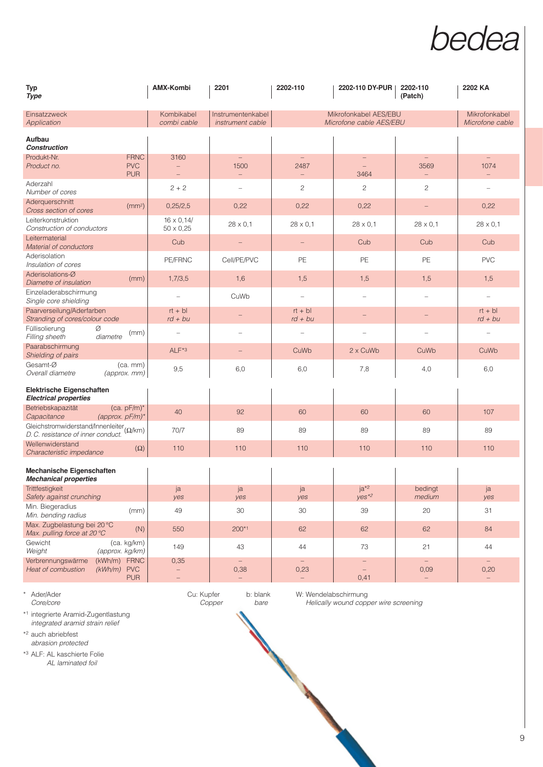

| <b>Typ</b><br><b>Type</b>                                                                        | <b>AMX-Kombi</b>                      | 2201                                                         | 2202-110                         | 2202-110 DY-PUR                                  | 2202-110<br>(Patch)                                          | 2202 KA                          |
|--------------------------------------------------------------------------------------------------|---------------------------------------|--------------------------------------------------------------|----------------------------------|--------------------------------------------------|--------------------------------------------------------------|----------------------------------|
| Einsatzzweck<br>Application                                                                      | Kombikabel<br>combi cable             | Instrumentenkabel<br>instrument cable                        |                                  | Mikrofonkabel AES/EBU<br>Microfone cable AES/EBU |                                                              | Mikrofonkabel<br>Microfone cable |
| Aufbau<br><b>Construction</b>                                                                    |                                       |                                                              |                                  |                                                  |                                                              |                                  |
| <b>FRNC</b><br>Produkt-Nr.<br><b>PVC</b><br>Product no.<br><b>PUR</b>                            | 3160                                  | $\equiv$<br>1500<br>$\qquad \qquad -$                        | 2487                             | 3464                                             | 3569                                                         | $\equiv$<br>1074                 |
| Aderzahl<br>Number of cores                                                                      | $2 + 2$                               | $\qquad \qquad -$                                            | $\mathbf{2}$                     | $\mathbf{2}$                                     | $\mathbf{2}$                                                 | L,                               |
| Aderguerschnitt<br>(mm <sup>2</sup> )<br>Cross section of cores                                  | 0,25/2,5                              | 0,22                                                         | 0,22                             | 0,22                                             |                                                              | 0,22                             |
| Leiterkonstruktion<br>Construction of conductors                                                 | $16 \times 0.14/$<br>$50 \times 0,25$ | $28 \times 0.1$                                              | $28 \times 0.1$                  | $28 \times 0.1$                                  | $28 \times 0.1$                                              | $28 \times 0.1$                  |
| Leitermaterial<br>Material of conductors                                                         | Cub                                   |                                                              |                                  | Cub                                              | Cub                                                          | Cub                              |
| Aderisolation<br>Insulation of cores                                                             | PE/FRNC                               | Cell/PE/PVC                                                  | PE                               | PE                                               | PE                                                           | <b>PVC</b>                       |
| Aderisolations-Ø<br>(mm)<br>Diametre of insulation                                               | 1,7/3,5                               | 1,6                                                          | 1,5                              | 1,5                                              | 1,5                                                          | 1,5                              |
| Einzeladerabschirmung<br>Single core shielding                                                   |                                       | CuWb                                                         |                                  |                                                  |                                                              |                                  |
| Paarverseilung/Aderfarben<br>Stranding of cores/colour code                                      | $rt + bl$<br>$rd + bu$                |                                                              | $rt + bl$<br>$rd + bu$           |                                                  |                                                              | $rt + bl$<br>$rd + bu$           |
| Füllisolierung<br>Ø<br>(mm)<br>diametre<br>Filling sheeth                                        |                                       |                                                              |                                  |                                                  |                                                              |                                  |
| Paarabschirmung<br>Shielding of pairs                                                            | $ALF*3$                               | $\qquad \qquad -$                                            | CuWb                             | 2 x CuWb                                         | CuWb                                                         | CuWb                             |
| Gesamt-Ø<br>$(ca.$ mm $)$<br>Overall diametre<br>(approx. mm)                                    | 9,5                                   | 6,0                                                          | 6,0                              | 7,8                                              | 4,0                                                          | 6,0                              |
| Elektrische Eigenschaften<br><b>Electrical properties</b>                                        |                                       |                                                              |                                  |                                                  |                                                              |                                  |
| Betriebskapazität<br>$(ca. pF/m)^*$<br>(approx. $pF/m$ )*<br>Capacitance                         | 40                                    | 92                                                           | 60                               | 60                                               | 60                                                           | 107                              |
| Gleichstromwiderstand/Innenleiter ( $\Omega$ /km)<br>D. C. resistance of inner conduct.          | 70/7                                  | 89                                                           | 89                               | 89                                               | 89                                                           | 89                               |
| Wellenwiderstand<br>Characteristic impedance                                                     | 110<br>$(\Omega)$                     | 110                                                          | 110                              | 110                                              | 110                                                          | 110                              |
| Mechanische Eigenschaften<br><b>Mechanical properties</b>                                        |                                       |                                                              |                                  |                                                  |                                                              |                                  |
| Trittfestigkeit<br>Safety against crunching                                                      | ja<br>yes                             | ja<br>yes                                                    | ja<br>yes                        | $ja*2$<br>$yes*2$                                | bedingt<br>medium                                            | ja<br>yes                        |
| Min. Biegeradius<br>(mm)<br>Min. bending radius                                                  | 49                                    | 30                                                           | 30                               | 39                                               | $20\,$                                                       | 31                               |
| Max. Zugbelastung bei 20 °C<br>Max. pulling force at 20 °C                                       | (N)<br>550                            | 200*1                                                        | 62                               | 62                                               | 62                                                           | 84                               |
| Gewicht<br>(ca. kg/km)<br>Weight<br>(approx. kg/km)                                              | 149                                   | 43                                                           | 44                               | 73                                               | 21                                                           | 44                               |
| <b>FRNC</b><br>Verbrennungswärme<br>(kWh/m)<br>$(kWh/m)$ PVC<br>Heat of combustion<br><b>PUR</b> | 0,35<br>$\overline{\phantom{0}}$      | $\overline{\phantom{0}}$<br>0,38<br>$\overline{\phantom{0}}$ | $\overline{\phantom{0}}$<br>0,23 | 0,41                                             | $\overline{\phantom{m}}$<br>0,09<br>$\overline{\phantom{0}}$ | $\overline{\phantom{a}}$<br>0,20 |

\*1 integrierte Aramid-Zugentlastung integrated aramid strain relief

\*2 auch abriebfest abrasion protected

\*3 ALF: AL kaschierte Folie AL laminated foil

\* Ader/Ader Cu: Kupfer b: blank W: Wendelabschirmung

Helically wound copper wire screening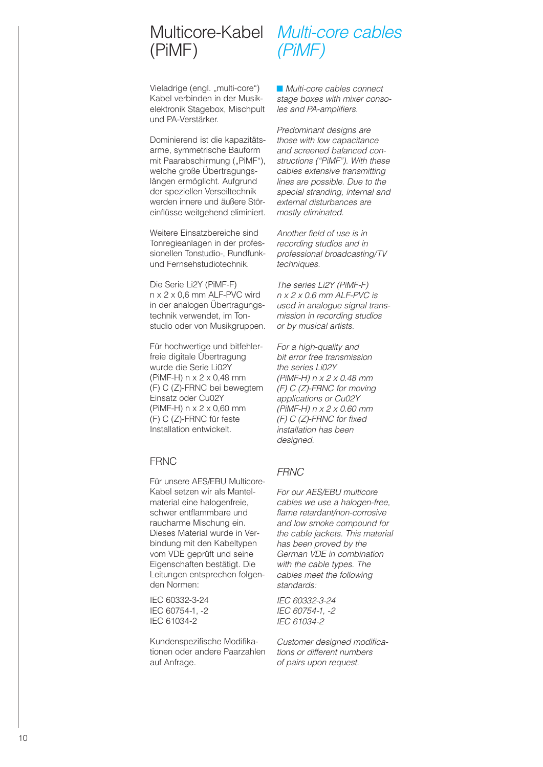# (PiMF)

Multicore-Kabel Multi-core cables (PiMF)

Vieladrige (engl. "multi-core") Kabel verbinden in der Musikelektronik Stagebox, Mischpult und PA-Verstärker.

Dominierend ist die kapazitätsarme, symmetrische Bauform mit Paarabschirmung ("PiMF"), welche große Übertragungslängen ermöglicht. Aufgrund der speziellen Verseiltechnik werden innere und äußere Störeinflüsse weitgehend eliminiert.

Weitere Einsatzbereiche sind Tonregieanlagen in der professionellen Tonstudio-, Rundfunkund Fernsehstudiotechnik.

Die Serie Li2Y (PiMF-F) n x 2 x 0,6 mm ALF-PVC wird in der analogen Übertragungstechnik verwendet, im Tonstudio oder von Musikgruppen.

Für hochwertige und bitfehlerfreie digitale Übertragung wurde die Serie Li02Y (PiMF-H) n x 2 x 0,48 mm (F) C (Z)-FRNC bei bewegtem Einsatz oder Cu02Y (PiMF-H) n x 2 x 0,60 mm (F) C (Z)-FRNC für feste Installation entwickelt.

#### **FRNC**

Für unsere AES/EBU Multicore-Kabel setzen wir als Mantelmaterial eine halogenfreie, schwer entflammbare und raucharme Mischung ein. Dieses Material wurde in Verbindung mit den Kabeltypen vom VDE geprüft und seine Eigenschaften bestätigt. Die Leitungen entsprechen folgenden Normen:

IEC 60332-3-24 IEC 60754-1, -2 IEC 61034-2

Kundenspezifische Modifika tionen oder andere Paarzahlen auf Anfrage.

■ Multi-core cables connect stage boxes with mixer consoles and PA-amplifiers.

Predominant designs are those with low capacitance and screened balanced constructions ("PiMF"). With these cables extensive transmitting lines are possible. Due to the special stranding, internal and external disturbances are mostly eliminated.

Another field of use is in recording studios and in professional broadcasting/TV techniques.

The series Li2Y (PiMF-F) n x 2 x 0.6 mm ALF-PVC is used in analogue signal transmission in recording studios or by musical artists.

For a high-quality and bit error free transmission the series Li02Y (PiMF-H) n x 2 x 0.48 mm (F) C (Z)-FRNC for moving applications or Cu02Y (PiMF-H) n x 2 x 0.60 mm (F) C (Z)-FRNC for fixed installation has been designed.

#### **FRNC**

For our AES/EBU multicore cables we use a halogen-free, flame retardant/non-corrosive and low smoke compound for the cable jackets. This material has been proved by the German VDE in combination with the cable types. The cables meet the following standards:

IEC 60332-3-24 IEC 60754-1, -2 IEC 61034-2

Customer designed modifications or different numbers of pairs upon request.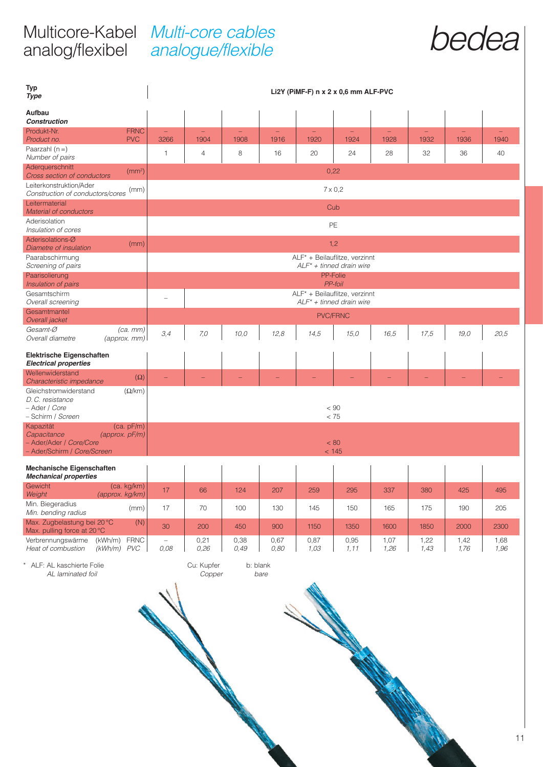#### Multicore-Kabel analog/flexibel Multi-core cables analogue/flexible



| <b>Typ</b><br><b>Type</b>                                             |                                  |              |                                                               |              |              | Li2Y (PiMF-F) n x 2 x 0,6 mm ALF-PVC                          |                |              |              |              |              |
|-----------------------------------------------------------------------|----------------------------------|--------------|---------------------------------------------------------------|--------------|--------------|---------------------------------------------------------------|----------------|--------------|--------------|--------------|--------------|
| Aufbau<br><b>Construction</b>                                         |                                  |              |                                                               |              |              |                                                               |                |              |              |              |              |
| Produkt-Nr.<br>Product no.                                            | <b>FRNC</b><br><b>PVC</b>        | 3266         | 1904                                                          | 1908         | 1916         | 1920                                                          | 1924           | 1928         | 1932         | 1936         | 1940         |
| Paarzahl $(n=)$<br>Number of pairs                                    |                                  | $\mathbf{1}$ | $\overline{4}$                                                | 8            | 16           | 20                                                            | 24             | 28           | 32           | 36           | 40           |
| Aderquerschnitt<br>Cross section of conductors                        | (mm <sup>2</sup> )               |              | 0,22                                                          |              |              |                                                               |                |              |              |              |              |
| Leiterkonstruktion/Ader<br>Construction of conductors/cores           | (mm)                             |              | $7 \times 0.2$                                                |              |              |                                                               |                |              |              |              |              |
| Leitermaterial<br><b>Material of conductors</b>                       |                                  |              | Cub                                                           |              |              |                                                               |                |              |              |              |              |
| Aderisolation<br>Insulation of cores                                  |                                  |              |                                                               |              |              |                                                               | PE             |              |              |              |              |
| Aderisolations-Ø<br>Diametre of insulation                            | (mm)                             |              |                                                               |              |              |                                                               | 1,2            |              |              |              |              |
| Paarabschirmung<br>Screening of pairs                                 |                                  |              |                                                               |              |              | ALF* + Beilauflitze, verzinnt<br>$ALF^* + t$ inned drain wire |                |              |              |              |              |
| Paarisolierung<br>Insulation of pairs                                 |                                  |              |                                                               |              |              | PP-Folie                                                      | <b>PP-foil</b> |              |              |              |              |
| Gesamtschirm<br>Overall screening                                     |                                  |              | ALF* + Beilauflitze, verzinnt<br>$ALF^* + t$ inned drain wire |              |              |                                                               |                |              |              |              |              |
| Gesamtmantel<br>Overall jacket                                        |                                  |              | <b>PVC/FRNC</b>                                               |              |              |                                                               |                |              |              |              |              |
| Gesamt-Ø<br>Overall diametre                                          | $(ca.$ $mm)$<br>$(approx.$ $mm)$ | 3,4          | 7,0                                                           | 10,0         | 12,8         | 14,5                                                          | 15,0           | 16,5         | 17,5         | 19,0         | 20,5         |
| Elektrische Eigenschaften<br><b>Electrical properties</b>             |                                  |              |                                                               |              |              |                                                               |                |              |              |              |              |
| Wellenwiderstand<br>Characteristic impedance                          | $(\Omega)$                       |              |                                                               |              |              |                                                               |                |              |              |              |              |
| Gleichstromwiderstand<br>D.C. resistance<br>- Ader / Core             | $(\Omega/km)$                    |              |                                                               |              |              |                                                               | $< 90$         |              |              |              |              |
| - Schirm / Screen<br>Kapazität                                        | (ca. pF/m)                       |              |                                                               |              |              |                                                               | < 75           |              |              |              |              |
| Capacitance<br>- Ader/Ader / Core/Core<br>- Ader/Schirm / Core/Screen | (approx. pF/m)                   |              |                                                               |              |              | < 80                                                          | < 145          |              |              |              |              |
| Mechanische Eigenschaften<br><b>Mechanical properties</b>             |                                  |              |                                                               |              |              |                                                               |                |              |              |              |              |
| Gewicht<br>Weight                                                     | (ca. kg/km)<br>(approx. kg/km)   | 17           | 66                                                            | 124          | 207          | 259                                                           | 295            | 337          | 380          | 425          | 495          |
| Min. Biegeradius<br>Min. bending radius                               | (mm)                             | 17           | 70                                                            | 100          | 130          | 145                                                           | 150            | 165          | 175          | 190          | 205          |
| Max. Zugbelastung bei 20 °C<br>Max. pulling force at 20 °C            | (N)                              | 30           | 200                                                           | 450          | 900          | 1150                                                          | 1350           | 1600         | 1850         | 2000         | 2300         |
| Verbrennungswärme<br>Heat of combustion                               | (kWh/m) FRNC<br>$(kWh/m)$ PVC    | 0,08         | 0,21<br>0,26                                                  | 0,38<br>0,49 | 0,67<br>0,80 | 0,87<br>1,03                                                  | 0,95<br>1, 11  | 1,07<br>1,26 | 1,22<br>1,43 | 1,42<br>1,76 | 1,68<br>1,96 |
| ALF: AL kaschierte Folie<br>AL laminated foil                         |                                  |              | Cu: Kupfer<br>Copper                                          | b: blank     | bare         |                                                               |                |              |              |              |              |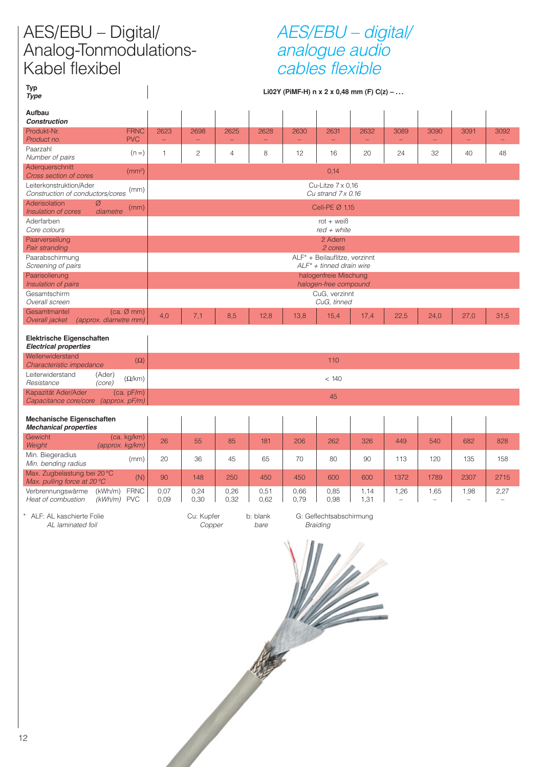# AES/EBU – Digital/ Analog-Tonmodulations-Kabel flexibel

### AES/EBU – digital/ analogue audio cables flexible

**Typ Li02Y (PiMF-H) n x 2 x 0,48 mm (F) C(z) – . . . Type**

| $i$ ype                                                     |                                               |              |                                                |              |                  |              |                                                              |                                  |                                  |      |            |      |  |
|-------------------------------------------------------------|-----------------------------------------------|--------------|------------------------------------------------|--------------|------------------|--------------|--------------------------------------------------------------|----------------------------------|----------------------------------|------|------------|------|--|
| Aufbau<br><b>Construction</b>                               |                                               |              |                                                |              |                  |              |                                                              |                                  |                                  |      |            |      |  |
| Produkt-Nr.<br>Product no.                                  | <b>FRNC</b><br><b>PVC</b>                     | 2623<br>÷,   | 2698<br>$\equiv$                               | 2625<br>÷,   | 2628<br>$\equiv$ | 2630<br>÷    | 2631<br>$\equiv$                                             | 2632<br>$\overline{\phantom{m}}$ | 3089<br>-                        | 3090 | 3091<br>÷, | 3092 |  |
| Paarzahl<br>Number of pairs                                 | $(n=)$                                        | $\mathbf{1}$ | $\mathbf{2}$                                   | 4            | 8                | 12           | 16                                                           | 20                               | 24                               | 32   | 40         | 48   |  |
| Aderquerschnitt<br>Cross section of cores                   | (mm <sup>2</sup> )                            |              |                                                |              |                  |              | 0,14                                                         |                                  |                                  |      |            |      |  |
| Leiterkonstruktion/Ader<br>Construction of conductors/cores | (mm)                                          |              | Cu-Litze $7 \times 0.16$<br>Cu strand 7 x 0.16 |              |                  |              |                                                              |                                  |                                  |      |            |      |  |
| Aderisolation<br>Ø<br>Insulation of cores                   | (mm)<br>diametre                              |              | Cell-PE Ø 1,15                                 |              |                  |              |                                                              |                                  |                                  |      |            |      |  |
| Aderfarben<br>Core colours                                  |                                               |              | $rot + wei\beta$<br>$red + white$              |              |                  |              |                                                              |                                  |                                  |      |            |      |  |
| Paarverseilung<br>Pair stranding                            |                                               |              |                                                |              |                  |              | 2 Adern<br>2 cores                                           |                                  |                                  |      |            |      |  |
| Paarabschirmung<br>Screening of pairs                       |                                               |              |                                                |              |                  |              | ALF* + Beilauflitze, verzinnt<br>$ALF^* + tinned$ drain wire |                                  |                                  |      |            |      |  |
| Paarisolierung<br>Insulation of pairs                       |                                               |              |                                                |              |                  |              | halogenfreie Mischung<br>halogen-free compound               |                                  |                                  |      |            |      |  |
| Gesamtschirm<br>Overall screen                              |                                               |              |                                                |              |                  |              | CuG, verzinnt<br>CuG, tinned                                 |                                  |                                  |      |            |      |  |
| Gesamtmantel<br>Overall jacket                              | $(ca. \emptyset mm)$<br>(approx. diametre mm) | 4,0          | 7,1                                            | 8,5          | 12,8             | 13,8         | 15,4                                                         | 17,4                             | 22,5                             | 24,0 | 27,0       | 31,5 |  |
| Elektrische Eigenschaften<br><b>Electrical properties</b>   |                                               |              |                                                |              |                  |              |                                                              |                                  |                                  |      |            |      |  |
| Wellenwiderstand<br>Characteristic impedance                | $(\Omega)$                                    |              |                                                |              |                  |              | 110                                                          |                                  |                                  |      |            |      |  |
| Leiterwiderstand<br>Resistance                              | (Ader)<br>$(\Omega/km)$<br>(core)             |              |                                                |              |                  |              | < 140                                                        |                                  |                                  |      |            |      |  |
| Kapazität Ader/Ader<br>Capacitance core/core (approx. pF/m) | (ca. pF/m)                                    |              |                                                |              |                  |              | 45                                                           |                                  |                                  |      |            |      |  |
| Mechanische Eigenschaften<br><b>Mechanical properties</b>   |                                               |              |                                                |              |                  |              |                                                              |                                  |                                  |      |            |      |  |
| Gewicht<br>Weight                                           | (ca. kg/km)<br>(approx. kg/km)                | 26           | 55                                             | 85           | 181              | 206          | 262                                                          | 326                              | 449                              | 540  | 682        | 828  |  |
| Min. Biegeradius<br>Min. bending radius                     | (mm)                                          | 20           | 36                                             | 45           | 65               | 70           | 80                                                           | 90                               | 113                              | 120  | 135        | 158  |  |
| Max. Zugbelastung bei 20 °C<br>Max. pulling force at 20 °C  | (N)                                           | 90           | 148                                            | 250          | 450              | 450          | 600                                                          | 600                              | 1372                             | 1789 | 2307       | 2715 |  |
| Verbrennungswärme<br>Heat of combustion                     | <b>FRNC</b><br>(kWh/m)<br>$(kWh/m)$ PVC       | 0,07<br>0,09 | 0,24<br>0,30                                   | 0,26<br>0,32 | 0,51<br>0,62     | 0,66<br>0,79 | 0,85<br>0,98                                                 | 1,14<br>1,31                     | 1,26<br>$\overline{\phantom{0}}$ | 1,65 | 1,98<br>÷  | 2,27 |  |
| ALF: AL kaschierte Folie<br>AL laminated foil               |                                               |              | Cu: Kupfer<br>Copper                           |              | b: blank<br>bare |              | G: Geflechtsabschirmung<br><b>Braiding</b>                   |                                  |                                  |      |            |      |  |
|                                                             |                                               |              |                                                |              |                  |              |                                                              |                                  |                                  |      |            |      |  |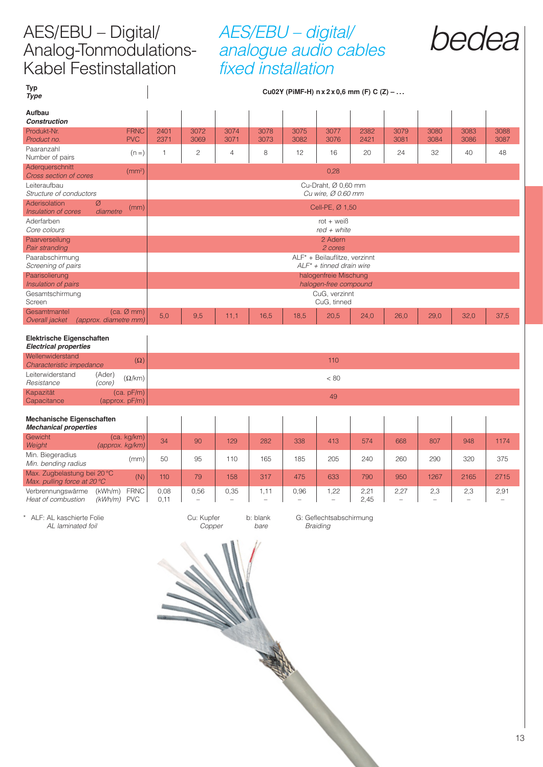# bedea AES/EBU – Digital/ Analog-Tonmodulations-Kabel Festinstallation

# AES/EBU – digital/ analogue audio cables fixed installation

| bedea |  |
|-------|--|
|       |  |

| <b>Typ</b><br><b>Type</b>                                  |                                   |              |                                                      |                |                  |              |                                           | Cu02Y (PiMF-H) $n \times 2 \times 0,6$ mm (F) C (Z) – |              |              |              |              |
|------------------------------------------------------------|-----------------------------------|--------------|------------------------------------------------------|----------------|------------------|--------------|-------------------------------------------|-------------------------------------------------------|--------------|--------------|--------------|--------------|
| Aufbau<br><b>Construction</b>                              |                                   |              |                                                      |                |                  |              |                                           |                                                       |              |              |              |              |
| Produkt-Nr.<br>Product no.                                 | <b>FRNC</b><br><b>PVC</b>         | 2401<br>2371 | 3072<br>3069                                         | 3074<br>3071   | 3078<br>3073     | 3075<br>3082 | 3077<br>3076                              | 2382<br>2421                                          | 3079<br>3081 | 3080<br>3084 | 3083<br>3086 | 3088<br>3087 |
| Paaranzahl<br>Number of pairs                              | $(n=)$                            | $\mathbf{1}$ | $\overline{c}$                                       | $\overline{4}$ | 8                | 12           | 16                                        | 20                                                    | 24           | 32           | 40           | 48           |
| Aderquerschnitt<br>Cross section of cores                  | (mm <sup>2</sup> )                |              |                                                      |                |                  |              | 0,28                                      |                                                       |              |              |              |              |
| Leiteraufbau<br>Structure of conductors                    |                                   |              |                                                      |                |                  |              | Cu-Draht, Ø 0,60 mm<br>Cu wire, Ø 0.60 mm |                                                       |              |              |              |              |
| Aderisolation<br>Insulation of cores                       | Ø<br>(mm)                         |              |                                                      |                |                  |              | Cell-PE, Ø 1,50                           |                                                       |              |              |              |              |
| Aderfarben                                                 | diametre                          |              |                                                      |                |                  |              | rot + $weight$                            |                                                       |              |              |              |              |
| Core colours<br>Paarverseilung                             |                                   |              | $red + white$<br>2 Adern                             |                |                  |              |                                           |                                                       |              |              |              |              |
| Pair stranding<br>Paarabschirmung                          |                                   |              | 2 cores<br>ALF* + Beilauflitze, verzinnt             |                |                  |              |                                           |                                                       |              |              |              |              |
| Screening of pairs<br>Paarisolierung                       |                                   |              | $ALF^* + tinned$ drain wire<br>halogenfreie Mischung |                |                  |              |                                           |                                                       |              |              |              |              |
| Insulation of pairs<br>Gesamtschirmung                     |                                   |              |                                                      |                |                  |              | halogen-free compound<br>CuG, verzinnt    |                                                       |              |              |              |              |
| Screen<br>Gesamtmantel                                     | $(ca. \emptyset mm)$              |              |                                                      |                |                  |              | CuG, tinned                               |                                                       |              |              |              |              |
| Overall jacket                                             | (approx. diametre mm)             | 5,0          | 9,5                                                  | 11,1           | 16,5             | 18,5         | 20,5                                      | 24,0                                                  | 26,0         | 29,0         | 32,0         | 37,5         |
| Elektrische Eigenschaften<br><b>Electrical properties</b>  |                                   |              |                                                      |                |                  |              |                                           |                                                       |              |              |              |              |
| Wellenwiderstand<br>Characteristic impedance               | $(\Omega)$                        |              |                                                      |                |                  |              | 110                                       |                                                       |              |              |              |              |
| Leiterwiderstand<br>Resistance                             | (Ader)<br>$(\Omega/km)$<br>(core) |              | < 80                                                 |                |                  |              |                                           |                                                       |              |              |              |              |
| Kapazität<br>Capacitance                                   | (ca. pF/m)<br>(approx. pF/m)      |              | 49                                                   |                |                  |              |                                           |                                                       |              |              |              |              |
| Mechanische Eigenschaften<br><b>Mechanical properties</b>  |                                   |              |                                                      |                |                  |              |                                           |                                                       |              |              |              |              |
| Gewicht<br>Weight                                          | (ca. kg/km)<br>(approx. kg/km)    | 34           | 90                                                   | 129            | 282              | 338          | 413                                       | 574                                                   | 668          | 807          | 948          | 1174         |
| Min. Biegeradius<br>Min. bending radius                    | (mm)                              | 50           | 95                                                   | 110            | 165              | 185          | 205                                       | 240                                                   | 260          | 290          | 320          | 375          |
| Max. Zugbelastung bei 20 °C<br>Max. pulling force at 20 °C | (N)                               | 110          | 79                                                   | 158            | 317              | 475          | 633                                       | 790                                                   | 950          | 1267         | 2165         | 2715         |
| Verbrennungswärme<br>Heat of combustion                    | (kWh/m) FRNC<br>$(kWh/m)$ PVC     | 0,08<br>0,11 | 0,56                                                 | 0,35           | 1, 11            | 0,96         | 1,22                                      | 2,21<br>2,45                                          | 2,27         | 2,3          | 2,3          | 2,91         |
| * ALF: AL kaschierte Folie<br>AL laminated foil            |                                   |              | Cu: Kupfer<br>Copper                                 |                | b: blank<br>bare |              | G: Geflechtsabschirmung<br>Braiding       |                                                       |              |              |              |              |
|                                                            |                                   |              |                                                      |                |                  |              |                                           |                                                       |              |              |              |              |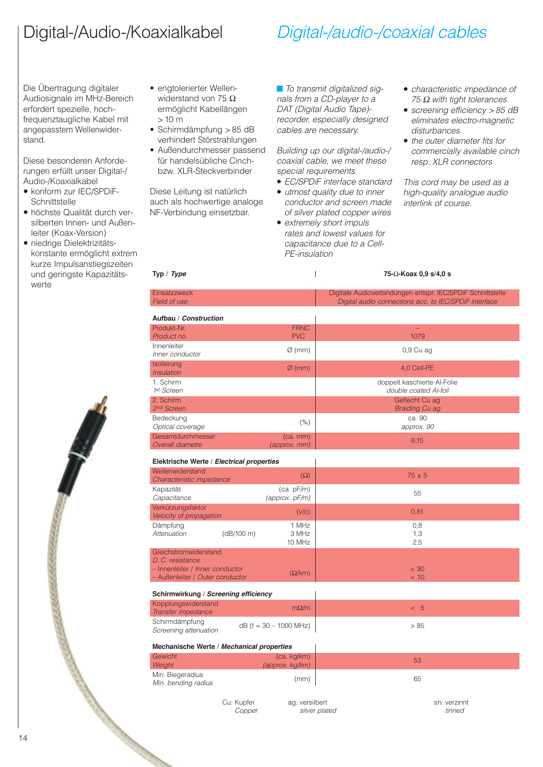# Digital-/Audio-/Koaxialkabel

# Digital-/audio-/coaxial cables

Die Übertragung digitaler Audiosignale im MHz-Bereich erfordert spezielle, hochfrequenztaugliche Kabel mit angepasstem Wellenwiderstand.

Diese besonderen Anforderungen erfüllt unser Digital-/ Audio-/Koaxialkabel

- konform zur IEC/SPDiF-**Schnittstelle**
- höchste Qualität durch ver silberten Innen- und Außenleiter (Koax-Version)
- niedrige Dielektrizitäts konstante ermöglicht extrem kurze Impulsanstiegszeiten und geringste Kapazitätswerte



- engtolerierter Wellenwiderstand von 75 Ω ermöglicht Kabellängen > 10 m
- Schirmdämpfung > 85 dB verhindert Störstrahlungen
- Außendurchmesser passend für handelsübliche Cinchbzw. XLR-Steckverbinder

Diese Leitung ist natürlich auch als hochwertige analoge NF-Verbindung einsetzbar.

■ To transmit digitalized signals from a CD-player to a DAT (Digital Audio Tape) recorder, especially designed cables are necessary.

Building up our digital-/audio-/ coaxial cable, we meet these special requirements

- EC/SPDiF interface standard
- utmost quality due to inner conductor and screen made of silver plated copper wires
- extremely short impuls rates and lowest values for capacitance due to a Cell-PE-insulation
- characteristic impedance of 75  $Ω$  with tight tolerances
- screening efficiency > 85 dB eliminates electro-magnetic disturbances
- the outer diameter fits for commercially available cinch resp. XLR connectors

This cord may be used as a high-quality analogue audio interlink of course.

| Digitale Audioverbindungen entspr. IEC/SPDiF Schnittstelle<br>Digital audio connections acc. to IEC/SPDiF interface<br>Aufbau / Construction<br><b>FRNC</b><br><b>PVC</b><br>1079<br>$\varnothing$ (mm)<br>$0,9$ Cu ag<br>Inner conductor<br>Isolierung<br>$\varnothing$ (mm)<br>4,0 Cell-PE<br><i><b>Insulation</b></i><br>1. Schirm<br>doppelt kaschierte Al-Folie<br>double coated Al-foil<br>Geflecht Cu ag<br><b>Braiding Cu ag</b><br>ca. 90<br>(% )<br>approx. 90<br>Optical coverage<br>Gesamtdurchmesser<br>$(ca.$ mm $)$<br>6,15<br><b>Overall diametre</b><br>(approx. mm)<br>Elektrische Werte / Electrical properties<br>$(\Omega)$<br>$75 \pm 5$<br>Characteristic impedance<br>Kapazität<br>(ca. pF/m)<br>55<br>Capacitance<br>(approx. pF/m)<br>Verkürzungsfaktor<br>0,81<br>(v/c)<br><b>Velocity of propagation</b><br>1 MHz<br>0,8<br>(dB/100 m)<br>3 MHz<br>1,3<br>2,5<br>10 MHz<br>Gleichstromwiderstand<br>D.C. resistance<br>- Innenleiter / Inner conductor<br>< 30<br>$(\Omega/km)$<br>- Außenleiter / Outer conductor<br>< 10<br>Schirmwirkung / Screening efficiency<br>Kopplungswiderstand<br>$m\Omega/m$<br>< 5<br>$dB$ (f = 30 – 1000 MHz)<br>> 85<br>Screening attenuation<br>Mechanische Werte / Mechanical properties<br>(ca. kg/km)<br>53<br>(approx. kg/km)<br>65<br>(mm)<br>Min. bending radius<br>Cu: Kupfer<br>ag: versilbert<br>sn: verzinnt<br>silver plated<br>tinned<br>Copper | Typ / <i>Type</i>      |  | 75-Ω-Koax 0,9 s/4,0 s |
|-------------------------------------------------------------------------------------------------------------------------------------------------------------------------------------------------------------------------------------------------------------------------------------------------------------------------------------------------------------------------------------------------------------------------------------------------------------------------------------------------------------------------------------------------------------------------------------------------------------------------------------------------------------------------------------------------------------------------------------------------------------------------------------------------------------------------------------------------------------------------------------------------------------------------------------------------------------------------------------------------------------------------------------------------------------------------------------------------------------------------------------------------------------------------------------------------------------------------------------------------------------------------------------------------------------------------------------------------------------------------------------------------------------------------|------------------------|--|-----------------------|
|                                                                                                                                                                                                                                                                                                                                                                                                                                                                                                                                                                                                                                                                                                                                                                                                                                                                                                                                                                                                                                                                                                                                                                                                                                                                                                                                                                                                                         | Einsatzzweck           |  |                       |
|                                                                                                                                                                                                                                                                                                                                                                                                                                                                                                                                                                                                                                                                                                                                                                                                                                                                                                                                                                                                                                                                                                                                                                                                                                                                                                                                                                                                                         | <b>Field of use</b>    |  |                       |
|                                                                                                                                                                                                                                                                                                                                                                                                                                                                                                                                                                                                                                                                                                                                                                                                                                                                                                                                                                                                                                                                                                                                                                                                                                                                                                                                                                                                                         |                        |  |                       |
|                                                                                                                                                                                                                                                                                                                                                                                                                                                                                                                                                                                                                                                                                                                                                                                                                                                                                                                                                                                                                                                                                                                                                                                                                                                                                                                                                                                                                         | Produkt-Nr.            |  |                       |
|                                                                                                                                                                                                                                                                                                                                                                                                                                                                                                                                                                                                                                                                                                                                                                                                                                                                                                                                                                                                                                                                                                                                                                                                                                                                                                                                                                                                                         | Product no.            |  |                       |
|                                                                                                                                                                                                                                                                                                                                                                                                                                                                                                                                                                                                                                                                                                                                                                                                                                                                                                                                                                                                                                                                                                                                                                                                                                                                                                                                                                                                                         | Innenleiter            |  |                       |
|                                                                                                                                                                                                                                                                                                                                                                                                                                                                                                                                                                                                                                                                                                                                                                                                                                                                                                                                                                                                                                                                                                                                                                                                                                                                                                                                                                                                                         |                        |  |                       |
|                                                                                                                                                                                                                                                                                                                                                                                                                                                                                                                                                                                                                                                                                                                                                                                                                                                                                                                                                                                                                                                                                                                                                                                                                                                                                                                                                                                                                         |                        |  |                       |
|                                                                                                                                                                                                                                                                                                                                                                                                                                                                                                                                                                                                                                                                                                                                                                                                                                                                                                                                                                                                                                                                                                                                                                                                                                                                                                                                                                                                                         |                        |  |                       |
|                                                                                                                                                                                                                                                                                                                                                                                                                                                                                                                                                                                                                                                                                                                                                                                                                                                                                                                                                                                                                                                                                                                                                                                                                                                                                                                                                                                                                         | 1st Screen             |  |                       |
|                                                                                                                                                                                                                                                                                                                                                                                                                                                                                                                                                                                                                                                                                                                                                                                                                                                                                                                                                                                                                                                                                                                                                                                                                                                                                                                                                                                                                         | 2. Schirm              |  |                       |
|                                                                                                                                                                                                                                                                                                                                                                                                                                                                                                                                                                                                                                                                                                                                                                                                                                                                                                                                                                                                                                                                                                                                                                                                                                                                                                                                                                                                                         | 2 <sup>nd</sup> Screen |  |                       |
|                                                                                                                                                                                                                                                                                                                                                                                                                                                                                                                                                                                                                                                                                                                                                                                                                                                                                                                                                                                                                                                                                                                                                                                                                                                                                                                                                                                                                         | Bedeckung              |  |                       |
|                                                                                                                                                                                                                                                                                                                                                                                                                                                                                                                                                                                                                                                                                                                                                                                                                                                                                                                                                                                                                                                                                                                                                                                                                                                                                                                                                                                                                         |                        |  |                       |
|                                                                                                                                                                                                                                                                                                                                                                                                                                                                                                                                                                                                                                                                                                                                                                                                                                                                                                                                                                                                                                                                                                                                                                                                                                                                                                                                                                                                                         |                        |  |                       |
|                                                                                                                                                                                                                                                                                                                                                                                                                                                                                                                                                                                                                                                                                                                                                                                                                                                                                                                                                                                                                                                                                                                                                                                                                                                                                                                                                                                                                         |                        |  |                       |
|                                                                                                                                                                                                                                                                                                                                                                                                                                                                                                                                                                                                                                                                                                                                                                                                                                                                                                                                                                                                                                                                                                                                                                                                                                                                                                                                                                                                                         |                        |  |                       |
|                                                                                                                                                                                                                                                                                                                                                                                                                                                                                                                                                                                                                                                                                                                                                                                                                                                                                                                                                                                                                                                                                                                                                                                                                                                                                                                                                                                                                         | Wellenwiderstand       |  |                       |
|                                                                                                                                                                                                                                                                                                                                                                                                                                                                                                                                                                                                                                                                                                                                                                                                                                                                                                                                                                                                                                                                                                                                                                                                                                                                                                                                                                                                                         |                        |  |                       |
|                                                                                                                                                                                                                                                                                                                                                                                                                                                                                                                                                                                                                                                                                                                                                                                                                                                                                                                                                                                                                                                                                                                                                                                                                                                                                                                                                                                                                         |                        |  |                       |
|                                                                                                                                                                                                                                                                                                                                                                                                                                                                                                                                                                                                                                                                                                                                                                                                                                                                                                                                                                                                                                                                                                                                                                                                                                                                                                                                                                                                                         |                        |  |                       |
|                                                                                                                                                                                                                                                                                                                                                                                                                                                                                                                                                                                                                                                                                                                                                                                                                                                                                                                                                                                                                                                                                                                                                                                                                                                                                                                                                                                                                         |                        |  |                       |
|                                                                                                                                                                                                                                                                                                                                                                                                                                                                                                                                                                                                                                                                                                                                                                                                                                                                                                                                                                                                                                                                                                                                                                                                                                                                                                                                                                                                                         | Dämpfung               |  |                       |
|                                                                                                                                                                                                                                                                                                                                                                                                                                                                                                                                                                                                                                                                                                                                                                                                                                                                                                                                                                                                                                                                                                                                                                                                                                                                                                                                                                                                                         | Attenuation            |  |                       |
|                                                                                                                                                                                                                                                                                                                                                                                                                                                                                                                                                                                                                                                                                                                                                                                                                                                                                                                                                                                                                                                                                                                                                                                                                                                                                                                                                                                                                         |                        |  |                       |
|                                                                                                                                                                                                                                                                                                                                                                                                                                                                                                                                                                                                                                                                                                                                                                                                                                                                                                                                                                                                                                                                                                                                                                                                                                                                                                                                                                                                                         |                        |  |                       |
|                                                                                                                                                                                                                                                                                                                                                                                                                                                                                                                                                                                                                                                                                                                                                                                                                                                                                                                                                                                                                                                                                                                                                                                                                                                                                                                                                                                                                         |                        |  |                       |
|                                                                                                                                                                                                                                                                                                                                                                                                                                                                                                                                                                                                                                                                                                                                                                                                                                                                                                                                                                                                                                                                                                                                                                                                                                                                                                                                                                                                                         |                        |  |                       |
|                                                                                                                                                                                                                                                                                                                                                                                                                                                                                                                                                                                                                                                                                                                                                                                                                                                                                                                                                                                                                                                                                                                                                                                                                                                                                                                                                                                                                         |                        |  |                       |
|                                                                                                                                                                                                                                                                                                                                                                                                                                                                                                                                                                                                                                                                                                                                                                                                                                                                                                                                                                                                                                                                                                                                                                                                                                                                                                                                                                                                                         |                        |  |                       |
|                                                                                                                                                                                                                                                                                                                                                                                                                                                                                                                                                                                                                                                                                                                                                                                                                                                                                                                                                                                                                                                                                                                                                                                                                                                                                                                                                                                                                         | Transfer impedance     |  |                       |
|                                                                                                                                                                                                                                                                                                                                                                                                                                                                                                                                                                                                                                                                                                                                                                                                                                                                                                                                                                                                                                                                                                                                                                                                                                                                                                                                                                                                                         | Schirmdämpfung         |  |                       |
|                                                                                                                                                                                                                                                                                                                                                                                                                                                                                                                                                                                                                                                                                                                                                                                                                                                                                                                                                                                                                                                                                                                                                                                                                                                                                                                                                                                                                         |                        |  |                       |
|                                                                                                                                                                                                                                                                                                                                                                                                                                                                                                                                                                                                                                                                                                                                                                                                                                                                                                                                                                                                                                                                                                                                                                                                                                                                                                                                                                                                                         |                        |  |                       |
|                                                                                                                                                                                                                                                                                                                                                                                                                                                                                                                                                                                                                                                                                                                                                                                                                                                                                                                                                                                                                                                                                                                                                                                                                                                                                                                                                                                                                         | <b>Gewicht</b>         |  |                       |
|                                                                                                                                                                                                                                                                                                                                                                                                                                                                                                                                                                                                                                                                                                                                                                                                                                                                                                                                                                                                                                                                                                                                                                                                                                                                                                                                                                                                                         | Weight                 |  |                       |
|                                                                                                                                                                                                                                                                                                                                                                                                                                                                                                                                                                                                                                                                                                                                                                                                                                                                                                                                                                                                                                                                                                                                                                                                                                                                                                                                                                                                                         | Min. Biegeradius       |  |                       |
|                                                                                                                                                                                                                                                                                                                                                                                                                                                                                                                                                                                                                                                                                                                                                                                                                                                                                                                                                                                                                                                                                                                                                                                                                                                                                                                                                                                                                         |                        |  |                       |
|                                                                                                                                                                                                                                                                                                                                                                                                                                                                                                                                                                                                                                                                                                                                                                                                                                                                                                                                                                                                                                                                                                                                                                                                                                                                                                                                                                                                                         |                        |  |                       |
|                                                                                                                                                                                                                                                                                                                                                                                                                                                                                                                                                                                                                                                                                                                                                                                                                                                                                                                                                                                                                                                                                                                                                                                                                                                                                                                                                                                                                         |                        |  |                       |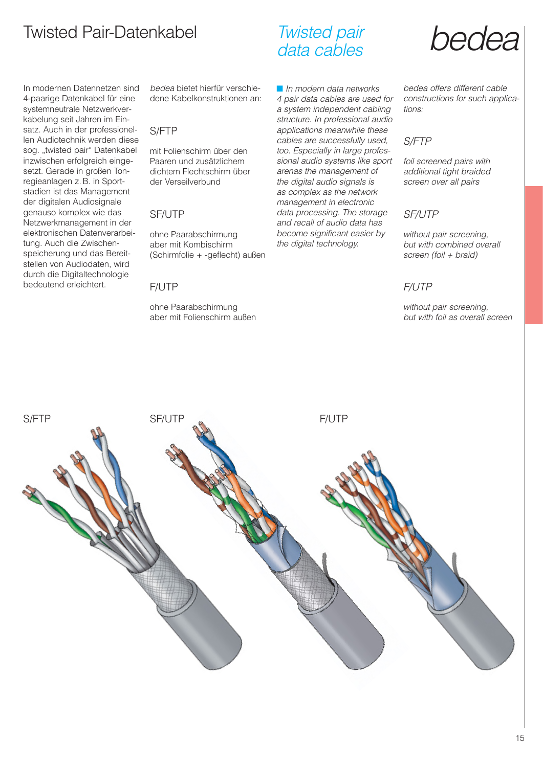# Twisted Pair-Datenkabel *Twisted pair* **hedea**

In modernen Datennetzen sind 4-paarige Datenkabel für eine systemneutrale Netzwerkverkabelung seit Jahren im Einsatz. Auch in der professionellen Audiotechnik werden diese sog. "twisted pair" Datenkabel inzwischen erfolgreich eingesetzt. Gerade in großen Tonregieanlagen z. B. in Sportstadien ist das Management der digitalen Audiosignale genauso komplex wie das Netzwerkmanagement in der elektronischen Datenverarbeitung. Auch die Zwischenspeicherung und das Bereitstellen von Audiodaten, wird durch die Digitaltechnologie bedeutend erleichtert.

bedea bietet hierfür verschiedene Kabelkonstruktionen an:

#### S/FTP

mit Folienschirm über den Paaren und zusätzlichem dichtem Flechtschirm über der Verseilverbund

#### SF/UTP

ohne Paarabschirmung aber mit Kombischirm (Schirmfolie + -geflecht) außen

#### F/UTP

ohne Paarabschirmung aber mit Folienschirm außen

### Twisted pair data cables

■ In modern data networks 4 pair data cables are used for a system independent cabling structure. In professional audio applications meanwhile these cables are successfully used, too. Especially in large professional audio systems like sport arenas the management of the digital audio signals is as complex as the network management in electronic data processing. The storage and recall of audio data has become significant easier by the digital technology.



bedea offers different cable constructions for such applications:

#### S/FTP

foil screened pairs with additional tight braided screen over all pairs

#### SF/UTP

without pair screening, but with combined overall screen (foil + braid)

#### F/UTP

without pair screening, but with foil as overall screen

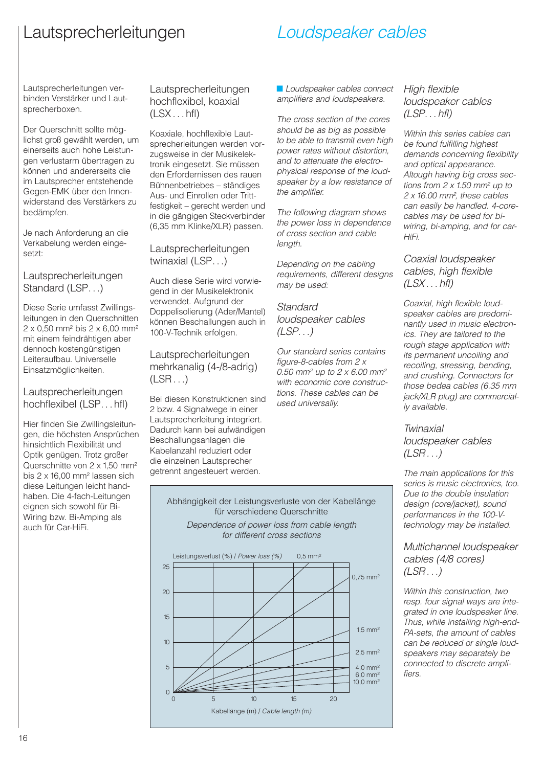# Lautsprecherleitungen

# Loudspeaker cables

Lautsprecherleitungen verbinden Verstärker und Lautsprecherboxen.

Der Querschnitt sollte möglichst groß gewählt werden, um einerseits auch hohe Leistungen verlustarm übertragen zu können und andererseits die im Lautsprecher entstehende Gegen-EMK über den Innenwiderstand des Verstärkers zu bedämpfen.

Je nach Anforderung an die Verkabelung werden eingesetzt:

#### Lautsprecherleitungen Standard (LSP...)

Diese Serie umfasst Zwillingsleitungen in den Querschnitten  $2 \times 0.50$  mm<sup>2</sup> bis  $2 \times 6,00$  mm<sup>2</sup> mit einem feindrähtigen aber dennoch kostengünstigen Leiteraufbau. Universelle Einsatzmöglichkeiten.

#### Lautsprecherleitungen hochflexibel (LSP. . . hfl)

Hier finden Sie Zwillingsleitungen, die höchsten Ansprüchen hinsichtlich Flexibilität und Optik genügen. Trotz großer Querschnitte von 2 x 1,50 mm2 bis 2 x 16,00 mm2 lassen sich diese Leitungen leicht handhaben. Die 4-fach-Leitungen eignen sich sowohl für Bi-Wiring bzw. Bi-Amping als auch für Car-HiFi.

Lautsprecherleitungen hochflexibel, koaxial  $(LSX...hfl)$ 

Koaxiale, hochflexible Lautsprecherleitungen werden vorzugsweise in der Musikelektronik eingesetzt. Sie müssen den Erfordernissen des rauen Bühnenbetriebes – ständiges Aus- und Einrollen oder Trittfestigkeit – gerecht werden und in die gängigen Steckverbinder (6,35 mm Klinke/XLR) passen.

Lautsprecherleitungen twinaxial (LSP. . .)

Auch diese Serie wird vorwiegend in der Musikelektronik verwendet. Aufgrund der Doppelisolierung (Ader/Mantel) können Beschallungen auch in 100-V-Technik erfolgen.

#### Lautsprecherleitungen mehrkanalig (4-/8-adrig)  $(LSR...)$

Bei diesen Konstruktionen sind 2 bzw. 4 Signalwege in einer Lautsprecherleitung integriert. Dadurch kann bei aufwändigen Beschallungsanlagen die Kabelanzahl reduziert oder die einzelnen Lautsprecher getrennt angesteuert werden.

■ Loudspeaker cables connect amplifiers and loudspeakers.

The cross section of the cores should be as big as possible to be able to transmit even high power rates without distortion, and to attenuate the electrophysical response of the loudspeaker by a low resistance of the amplifier.

The following diagram shows the power loss in dependence of cross section and cable length.

Depending on the cabling requirements, different designs may be used:

**Standard** loudspeaker cables  $(LSP. ...)$ 

Our standard series contains figure-8-cables from  $2 x$ 0.50 mm<sup>2</sup> up to 2 x 6.00 mm<sup>2</sup> with economic core constructions. These cables can be used universally.

High flexible loudspeaker cables  $(LSP. . . hfl)$ 

Within this series cables can be found fulfilling highest demands concerning flexibility and optical appearance. Altough having big cross sections from  $2 \times 1.50$  mm<sup>2</sup> up to 2 x 16.00 mm<sup>2</sup>, these cables can easily be handled. 4-corecables may be used for biwiring, bi-amping, and for car-HiFi.

Coaxial loudspeaker cables, high flexible  $(LSX...hfl)$ 

Coaxial, high flexible loudspeaker cables are predominantly used in music electronics. They are tailored to the rough stage application with its permanent uncoiling and recoiling, stressing, bending, and crushing. Connectors for those bedea cables (6.35 mm jack/XLR plug) are commercially available.

Twinaxial loudspeaker cables  $(LSR...)$ 

The main applications for this series is music electronics, too. Due to the double insulation design (core/jacket), sound performances in the 100-Vtechnology may be installed.

Multichannel loudspeaker cables (4/8 cores)  $(LSR...)$ 

Within this construction, two resp. four signal ways are integrated in one loudspeaker line. Thus, while installing high-end-PA-sets, the amount of cables can be reduced or single loudspeakers may separately be connected to discrete amplifiers.

Abhängigkeit der Leistungsverluste von der Kabellänge für verschiedene Querschnitte Dependence of power loss from cable length for different cross sections

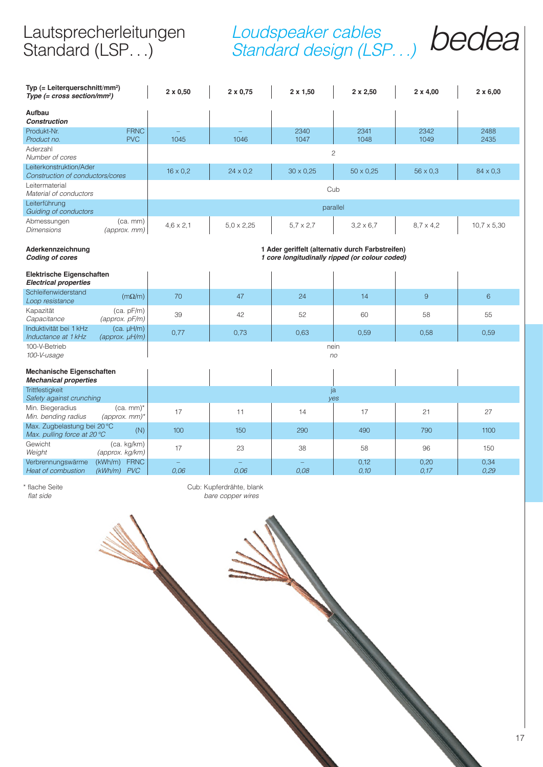# Lautsprecherleitungen Standard (LSP...)

# Loudspeaker cables<br>Standard design (LSP ) **bedea** Standard design (LSP...)

| Typ (= Leiterquerschnitt/mm <sup>2</sup> )<br>Type $(= cross section/mm^2)$ |                                         | $2 \times 0,50$  | $2 \times 0.75$                                                                                    | $2 \times 1,50$  | $2 \times 2,50$  | $2 \times 4,00$  | $2 \times 6,00$    |  |  |  |
|-----------------------------------------------------------------------------|-----------------------------------------|------------------|----------------------------------------------------------------------------------------------------|------------------|------------------|------------------|--------------------|--|--|--|
| Aufbau<br><b>Construction</b>                                               |                                         |                  |                                                                                                    |                  |                  |                  |                    |  |  |  |
| Produkt-Nr.<br>Product no.                                                  | <b>FRNC</b><br><b>PVC</b>               | 1045             | 1046                                                                                               | 2340<br>1047     | 2341<br>1048     | 2342<br>1049     | 2488<br>2435       |  |  |  |
| Aderzahl<br>Number of cores                                                 |                                         |                  | $\mathbf{2}$                                                                                       |                  |                  |                  |                    |  |  |  |
| Leiterkonstruktion/Ader<br>Construction of conductors/cores                 |                                         | $16 \times 0.2$  | $24 \times 0.2$                                                                                    | $30 \times 0.25$ | $50 \times 0.25$ | $56 \times 0.3$  | $84 \times 0.3$    |  |  |  |
| Leitermaterial<br>Material of conductors                                    |                                         | Cub              |                                                                                                    |                  |                  |                  |                    |  |  |  |
| Leiterführung<br>Guiding of conductors                                      |                                         |                  |                                                                                                    | parallel         |                  |                  |                    |  |  |  |
| Abmessungen<br>Dimensions                                                   | $(ca.$ mm $)$<br>(approx. mm)           | $4,6 \times 2,1$ | $5,0 \times 2,25$                                                                                  | $5.7 \times 2.7$ | $3.2 \times 6.7$ | $8.7 \times 4.2$ | $10,7 \times 5,30$ |  |  |  |
| Aderkennzeichnung<br><b>Coding of cores</b>                                 |                                         |                  | 1 Ader geriffelt (alternativ durch Farbstreifen)<br>1 core longitudinally ripped (or colour coded) |                  |                  |                  |                    |  |  |  |
| <b>Elektrische Eigenschaften</b><br><b>Electrical properties</b>            |                                         |                  |                                                                                                    |                  |                  |                  |                    |  |  |  |
| Schleifenwiderstand<br>Loop resistance                                      | $(m\Omega/m)$                           | 70               | 47                                                                                                 | 24               | 14               | 9                | $6\phantom{1}$     |  |  |  |
| Kapazität<br>Capacitance                                                    | (ca. pF/m)<br>$(approx.$ $pF/m$ )       | 39               | 42                                                                                                 | 52               | 60               | 58               | 55                 |  |  |  |
| Induktivität bei 1 kHz<br>Inductance at 1 kHz                               | $(ca. \mu H/m)$<br>$(approx. \mu H/m)$  | 0,77             | 0,73                                                                                               | 0,63             | 0,59             | 0,58             | 0,59               |  |  |  |
| 100-V-Betrieb<br>100-V-usage                                                |                                         |                  |                                                                                                    | nein<br>no       |                  |                  |                    |  |  |  |
| Mechanische Eigenschaften<br><b>Mechanical properties</b>                   |                                         |                  |                                                                                                    |                  |                  |                  |                    |  |  |  |
| Trittfestigkeit<br>Safety against crunching                                 |                                         |                  |                                                                                                    | ja<br>ves        |                  |                  |                    |  |  |  |
| Min. Biegeradius<br>Min. bending radius                                     | $(ca.$ mm $)^*$<br>$(approx.$ mm $)^*$  | 17               | 11                                                                                                 | 14               | 17               | 21               | 27                 |  |  |  |
| Max. Zugbelastung bei 20 °C<br>Max. pulling force at 20 °C                  | (N)                                     | 100              | 150                                                                                                | 290              | 490              | 790              | 1100               |  |  |  |
| Gewicht<br>Weight                                                           | (ca. kg/km)<br>(approx. kg/km)          | 17               | 23                                                                                                 | 38               | 58               | 96               | 150                |  |  |  |
| Verbrennungswärme<br><b>Heat of combustion</b>                              | <b>FRNC</b><br>(kWh/m)<br>$(kWh/m)$ PVC | 0.06             | 0.06                                                                                               | 0,08             | 0,12<br>0,10     | 0,20<br>0,17     | 0,34<br>0,29       |  |  |  |

\* flache Seite **Cub: Kupferdrähte, blank**<br>
f*lat side* bare copper wires bare copper wires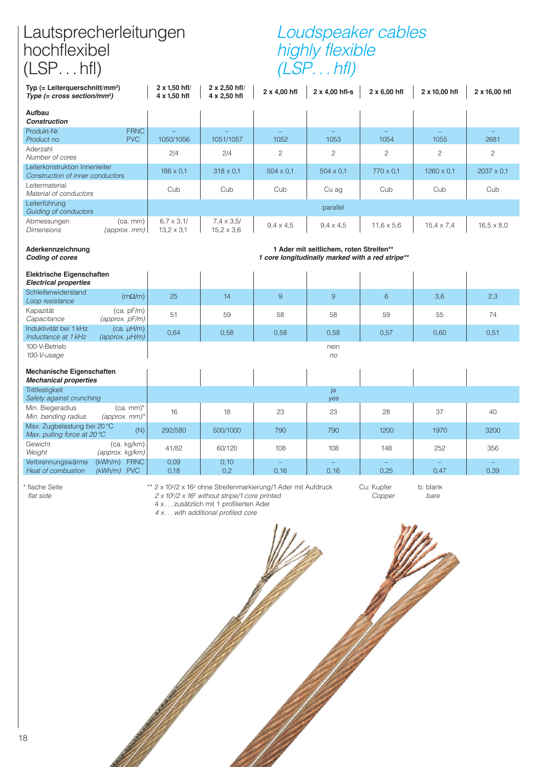## Lautsprecherleitungen hochflexibel (LSP...hfl)

# Loudspeaker cables highly flexible (LSP. . . hfl)

| Typ $(=$ Leiterquerschnitt/mm <sup>2</sup> )<br>Type $(= cross section/mm^2)$ |                                        | 2 x 1,50 hfl/<br>4 x 1,50 hfl          | 2 x 2,50 hfl/<br>4 x 2,50 hfl          | 2 x 4,00 hfl     | 2 x 4,00 hfl-s                                                                              | $2 \times 6,00$ hfl | 2 x 10,00 hfl     | 2 x 16,00 hfl     |
|-------------------------------------------------------------------------------|----------------------------------------|----------------------------------------|----------------------------------------|------------------|---------------------------------------------------------------------------------------------|---------------------|-------------------|-------------------|
| Aufbau<br><b>Construction</b>                                                 |                                        |                                        |                                        |                  |                                                                                             |                     |                   |                   |
| Produkt-Nr.<br>Product no.                                                    | <b>FRNC</b><br><b>PVC</b>              | 1050/1056                              | 1051/1057                              | 1052             | 1053                                                                                        | 1054                | 1055              | 2681              |
| Aderzahl<br>Number of cores                                                   |                                        | 2/4                                    | 2/4                                    | $\overline{c}$   | $\overline{c}$                                                                              | $\overline{c}$      | $\overline{c}$    | $\overline{c}$    |
| Leiterkonstruktion Innenleiter<br>Construction of inner conductors            |                                        | $186 \times 0.1$                       | $318 \times 0.1$                       | $504 \times 0.1$ | $504 \times 0.1$                                                                            | $770 \times 0.1$    | $1260 \times 0.1$ | $2037 \times 0.1$ |
| Leitermaterial<br>Material of conductors                                      |                                        | Cub                                    | Cub                                    | Cub              | Cu ag                                                                                       | Cub                 | Cub               | Cub               |
| Leiterführung<br>Guiding of conductors                                        |                                        |                                        |                                        |                  | parallel                                                                                    |                     |                   |                   |
| Abmessungen<br><b>Dimensions</b>                                              | $(ca.$ mm $)$<br>$(approx.$ mm $)$     | $6.7 \times 3.1/$<br>$13.2 \times 3.1$ | $7,4 \times 3,5/$<br>$15.2 \times 3.6$ | $9,4 \times 4,5$ | $9,4 \times 4,5$                                                                            | $11.6 \times 5.6$   | $15,4 \times 7,4$ | $16,5 \times 8,0$ |
| Aderkennzeichnung<br><b>Coding of cores</b>                                   |                                        |                                        |                                        |                  | 1 Ader mit seitlichem, roten Streifen**<br>1 core longitudinally marked with a red stripe** |                     |                   |                   |
| Elektrische Eigenschaften<br><b>Electrical properties</b>                     |                                        |                                        |                                        |                  |                                                                                             |                     |                   |                   |
| Schleifenwiderstand<br>Loop resistance                                        | $(m\Omega/m)$                          | 25                                     | 14                                     | 9                | 9                                                                                           | 6                   | 3,6               | 2,3               |
| Kapazität<br>Capacitance                                                      | (ca. pF/m)<br>(approx. pF/m)           | 51                                     | 59                                     | 58               | 58                                                                                          | 59                  | 55                | 74                |
| Induktivität bei 1 kHz<br>Inductance at 1 kHz                                 | $(ca. \mu H/m)$<br>$(approx. \mu H/m)$ | 0,64                                   | 0,58                                   | 0,58             | 0,58                                                                                        | 0,57                | 0,60              | 0,51              |
| 100-V-Betrieb<br>100-V-usage                                                  |                                        |                                        |                                        |                  | nein<br>no                                                                                  |                     |                   |                   |
| Mechanische Eigenschaften<br><b>Mechanical properties</b>                     |                                        |                                        |                                        |                  |                                                                                             |                     |                   |                   |
| <b>Trittfestigkeit</b><br>Safety against crunching                            |                                        |                                        |                                        |                  | ja<br>ves                                                                                   |                     |                   |                   |
| Min. Biegeradius<br>Min. bending radius                                       | $(ca.$ mm $)^*$<br>$(approx.$ mm $)^*$ | 16                                     | 18                                     | 23               | 23                                                                                          | 28                  | 37                | 40                |
| Max. Zugbelastung bei 20 °C<br>Max. pulling force at 20 °C                    | (N)                                    | 292/580                                | 500/1000                               | 790              | 790                                                                                         | 1200                | 1970              | 3200              |

Heat of combustion

\* flache Seite  $2 \times 10^2/2 \times 16^2$  ohne Streifenmarkierung/1 Ader mit Aufdruck Cu: Kupfer b: blank<br>flat side  $2 \times 10^2/2 \times 16^2$  without stripe/1 core printed Copper bare  $2 \times 10^2/2 \times 16^2$  without stripe/1 core printed

Gewicht (ca. kg/km) 41/82 60/120 108 108 148 252 356 Weight (approx. kg/km) Verbrennungswärme (kWh/m) FRNC 0,09 0,10 – – – – –

4 x . . . zusätzlich mit 1 profilierten Ader

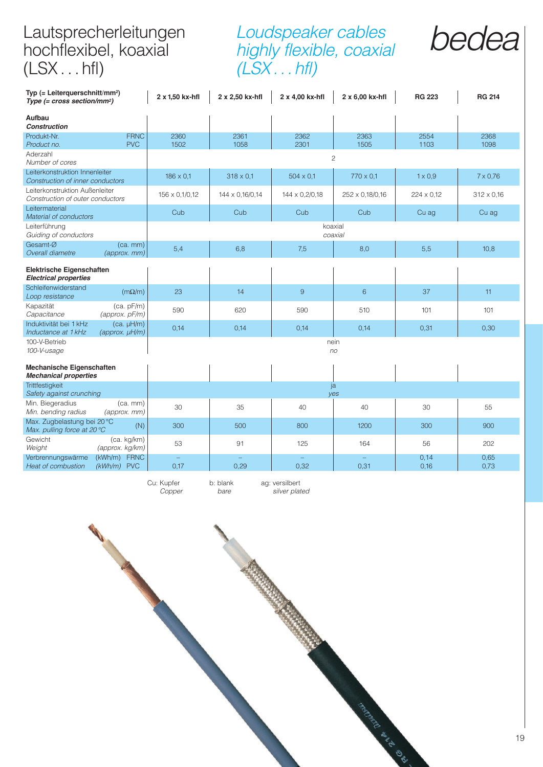# Lautsprecherleitungen hochflexibel, koaxial (LSX...hfl)

## Loudspeaker cables highly flexible, coaxial  $(LSX...hfl)$



| Typ $(=$ Leiterquerschnitt/mm <sup>2</sup> )<br>Type $(= cross section/mm^2)$ |                                         | 2 x 1,50 kx-hfl  | 2 x 2,50 kx-hfl  | 2 x 4,00 kx-hfl  | 2 x 6,00 kx-hfl    | <b>RG 223</b>  | <b>RG 214</b>     |
|-------------------------------------------------------------------------------|-----------------------------------------|------------------|------------------|------------------|--------------------|----------------|-------------------|
| Aufbau<br><b>Construction</b>                                                 |                                         |                  |                  |                  |                    |                |                   |
| Produkt-Nr.<br>Product no.                                                    | <b>FRNC</b><br><b>PVC</b>               | 2360<br>1502     | 2361<br>1058     | 2362<br>2301     | 2363<br>1505       | 2554<br>1103   | 2368<br>1098      |
| Aderzahl<br>Number of cores                                                   |                                         |                  |                  |                  | $\overline{c}$     |                |                   |
| Leiterkonstruktion Innenleiter<br>Construction of inner conductors            |                                         | $186 \times 0.1$ | $318 \times 0.1$ | $504 \times 0.1$ | $770 \times 0.1$   | $1 \times 0.9$ | $7 \times 0.76$   |
| Leiterkonstruktion Außenleiter<br>Construction of outer conductors            |                                         | 156 x 0,1/0,12   | 144 x 0,16/0,14  | 144 x 0,2/0,18   | 252 x 0,18/0,16    | 224 x 0.12     | $312 \times 0,16$ |
| Leitermaterial<br>Material of conductors                                      |                                         | Cub              | Cub              | Cub              | Cub                | Cu ag          | Cu ag             |
| Leiterführung<br>Guiding of conductors                                        |                                         |                  |                  |                  | koaxial<br>coaxial |                |                   |
| Gesamt-Ø<br>Overall diametre                                                  | $(ca.$ mm $)$<br>(approx. mm)           | 5,4              | 6,8              | 7,5              | 8,0                | 5,5            | 10,8              |
| Elektrische Eigenschaften<br><b>Electrical properties</b>                     |                                         |                  |                  |                  |                    |                |                   |
| Schleifenwiderstand<br>Loop resistance                                        | $(m\Omega/m)$                           | 23               | 14               | $\overline{9}$   | 6                  | 37             | 11                |
| Kapazität<br>Capacitance                                                      | (ca. pF/m)<br>(approx. pF/m)            | 590              | 620              | 590              | 510                | 101            | 101               |
| Induktivität bei 1 kHz<br>Inductance at 1 kHz                                 | $(ca. \mu H/m)$<br>$(approx. \mu H/m)$  | 0,14             | 0,14             | 0,14             | 0,14               | 0,31           | 0,30              |
| 100-V-Betrieb<br>100-V-usage                                                  |                                         |                  |                  | nein             | no                 |                |                   |
| Mechanische Eigenschaften<br><b>Mechanical properties</b>                     |                                         |                  |                  |                  |                    |                |                   |
| Trittfestigkeit<br>Safety against crunching                                   |                                         |                  |                  |                  | ja<br>yes          |                |                   |
| Min. Biegeradius<br>Min. bending radius                                       | $(ca.$ mm $)$<br>(approx. mm)           | 30               | 35               | 40               | 40                 | 30             | 55                |
| Max. Zugbelastung bei 20 °C<br>Max. pulling force at 20 °C                    | (N)                                     | 300              | 500              | 800              | 1200               | 300            | 900               |
| Gewicht<br>Weight                                                             | (ca. kg/km)<br>(approx. kg/km)          | 53               | 91               | 125              | 164                | 56             | 202               |
| Verbrennungswärme<br>Heat of combustion                                       | (kWh/m)<br><b>FRNC</b><br>$(kWh/m)$ PVC | $\equiv$<br>0,17 | 0,29             | 0,32             | 0,31               | 0,14<br>0,16   | 0,65<br>0,73      |

Cu: Kupfer b: blank ag: versilbert Copper bare silver plated

Sunday Maria River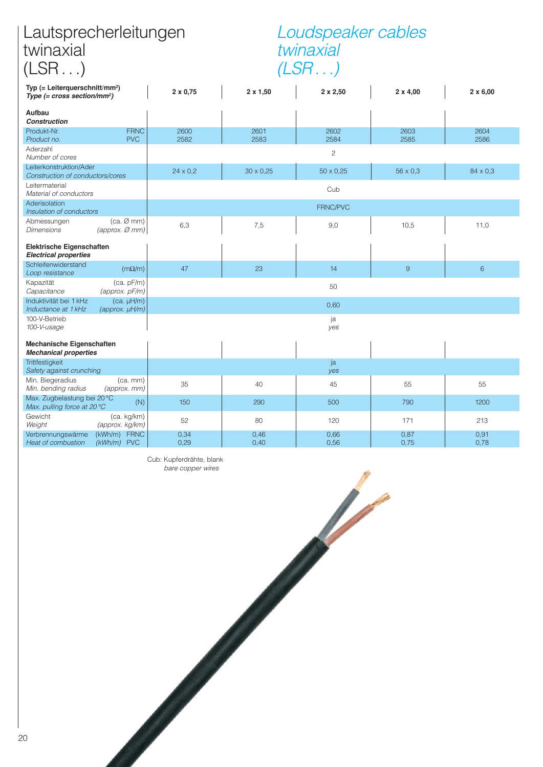# Lautsprecherleitungen twinaxial (LSR...)

# Loudspeaker cables twinaxial (LSR...)

| Typ $(=$ Leiterquerschnitt/mm <sup>2</sup> )<br>Type $(= cross section/mm^2)$ |                                             | $2 \times 0,75$ | $2 \times 1,50$  | $2 \times 2,50$  | $2 \times 4,00$ | $2 \times 6,00$ |  |  |  |  |
|-------------------------------------------------------------------------------|---------------------------------------------|-----------------|------------------|------------------|-----------------|-----------------|--|--|--|--|
| Aufbau<br><b>Construction</b>                                                 |                                             |                 |                  |                  |                 |                 |  |  |  |  |
| Produkt-Nr.<br>Product no.                                                    | <b>FRNC</b><br><b>PVC</b>                   | 2600<br>2582    | 2601<br>2583     | 2602<br>2584     | 2603<br>2585    | 2604<br>2586    |  |  |  |  |
| Aderzahl<br>Number of cores                                                   |                                             | $\overline{c}$  |                  |                  |                 |                 |  |  |  |  |
| Leiterkonstruktion/Ader<br>Construction of conductors/cores                   |                                             | $24 \times 0.2$ | $30 \times 0.25$ | $50 \times 0.25$ | $56 \times 0.3$ | $84 \times 0.3$ |  |  |  |  |
| Leitermaterial<br>Material of conductors                                      |                                             | Cub             |                  |                  |                 |                 |  |  |  |  |
| Aderisolation<br>Insulation of conductors                                     |                                             |                 |                  | FRNC/PVC         |                 |                 |  |  |  |  |
| Abmessungen<br>Dimensions                                                     | $(ca. \oslash mm)$<br>$(approx.$ $Ø$ mm $)$ | 6,3             | 7,5              | 9,0              | 10,5            | 11,0            |  |  |  |  |
| Elektrische Eigenschaften<br><b>Electrical properties</b>                     |                                             |                 |                  |                  |                 |                 |  |  |  |  |
| Schleifenwiderstand<br>Loop resistance                                        | $(m\Omega/m)$                               | 47              | 23               | 14               | 9               | 6               |  |  |  |  |
| Kapazität<br>Capacitance                                                      | (ca. pF/m)<br>(approx. pF/m)                | 50              |                  |                  |                 |                 |  |  |  |  |
| Induktivität bei 1 kHz<br>Inductance at 1 kHz                                 | $(ca. \mu H/m)$<br>$(approx. \mu H/m)$      | 0,60            |                  |                  |                 |                 |  |  |  |  |
| 100-V-Betrieb<br>100-V-usage                                                  |                                             | ja<br>yes       |                  |                  |                 |                 |  |  |  |  |
| Mechanische Eigenschaften<br><b>Mechanical properties</b>                     |                                             |                 |                  |                  |                 |                 |  |  |  |  |
| Trittfestigkeit<br>Safety against crunching                                   |                                             |                 |                  | ja<br>yes        |                 |                 |  |  |  |  |
| Min. Biegeradius<br>Min. bending radius                                       | $(ca.$ mm $)$<br>(approx. mm)               | 35              | 40               | 45               | 55              | 55              |  |  |  |  |
| Max. Zugbelastung bei 20 °C<br>Max. pulling force at 20 °C                    | (N)                                         | 150             | 290              | 500              | 790             | 1200            |  |  |  |  |
| Gewicht<br>Weight                                                             | (ca. kg/km)<br>(approx. kg/km)              | 52              | 80               | 120              | 171             | 213             |  |  |  |  |
| Verbrennungswärme<br>Heat of combustion                                       | (kWh/m) FRNC<br>$(kWh/m)$ PVC               | 0,34<br>0,29    | 0,46<br>0,40     | 0,66<br>0,56     | 0.87<br>0,75    | 0,91<br>0,78    |  |  |  |  |

Cub: Kupferdrähte, blank bare copper wires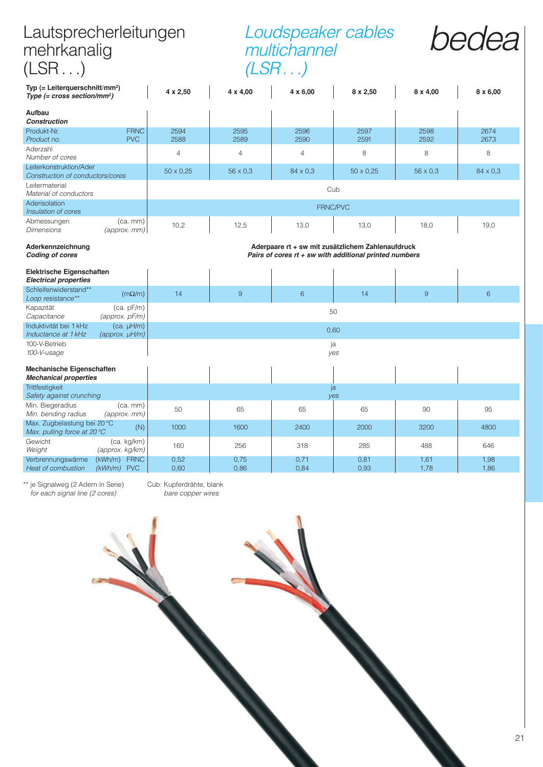| Lautsprecherleitungen<br>mehrkanalig<br>(LSR)                                 |                                        |                                                                                                               | Loudspeaker cables<br>multichannel<br>(LSR) |                 |                  |                 |                 |  |  |  |
|-------------------------------------------------------------------------------|----------------------------------------|---------------------------------------------------------------------------------------------------------------|---------------------------------------------|-----------------|------------------|-----------------|-----------------|--|--|--|
| Typ $(=$ Leiterquerschnitt/mm <sup>2</sup> )<br>Type $(= cross section/mm^2)$ |                                        | 4 x 2,50                                                                                                      | 4 x 4,00                                    | $4 \times 6,00$ | $8 \times 2,50$  | $8 \times 4,00$ | $8 \times 6,00$ |  |  |  |
| Aufbau<br>Construction                                                        |                                        |                                                                                                               |                                             |                 |                  |                 |                 |  |  |  |
| Produkt-Nr.                                                                   | <b>FRNC</b>                            | 2594                                                                                                          | 2595                                        | 2596            | 2597             | 2598            | 2674            |  |  |  |
| Product no.                                                                   | <b>PVC</b>                             | 2588                                                                                                          | 2589                                        | 2590            | 2591             | 2592            | 2673            |  |  |  |
| Aderzahl<br>Number of cores                                                   |                                        | $\overline{4}$                                                                                                | $\overline{4}$                              | $\overline{4}$  | 8                | 8               | 8               |  |  |  |
| Leiterkonstruktion/Ader<br>Construction of conductors/cores                   |                                        | $50 \times 0.25$                                                                                              | $56 \times 0.3$                             | $84 \times 0.3$ | $50 \times 0.25$ | $56 \times 0.3$ | $84 \times 0.3$ |  |  |  |
| Leitermaterial<br>Material of conductors                                      |                                        | Cub                                                                                                           |                                             |                 |                  |                 |                 |  |  |  |
| Aderisolation<br>Insulation of cores                                          |                                        | FRNC/PVC                                                                                                      |                                             |                 |                  |                 |                 |  |  |  |
| Abmessungen<br><b>Dimensions</b>                                              | $(ca.$ mm $)$<br>(approx. mm)          | 10,2                                                                                                          | 12,5                                        | 13,0            | 13,0             | 18.0            | 19.0            |  |  |  |
| Aderkennzeichnung<br><b>Coding of cores</b>                                   |                                        | Aderpaare rt + sw mit zusätzlichem Zahlenaufdruck<br>Pairs of cores $rt + sw$ with additional printed numbers |                                             |                 |                  |                 |                 |  |  |  |
| <b>Elektrische Eigenschaften</b><br><b>Electrical properties</b>              |                                        |                                                                                                               |                                             |                 |                  |                 |                 |  |  |  |
| Schleifenwiderstand**<br>Loop resistance**                                    | $(m\Omega/m)$                          | 14                                                                                                            | $\overline{9}$                              | $6\phantom{1}$  | 14               | 9               | 6               |  |  |  |
| Kapazität<br>Capacitance                                                      | (ca. pF/m)<br>(approx. pF/m)           | 50                                                                                                            |                                             |                 |                  |                 |                 |  |  |  |
| Induktivität bei 1 kHz<br>Inductance at 1 kHz                                 | $(ca. \mu H/m)$<br>$(approx. \mu H/m)$ | 0,60                                                                                                          |                                             |                 |                  |                 |                 |  |  |  |
| 100-V-Betrieb<br>100-V-usage                                                  |                                        | ja<br>yes                                                                                                     |                                             |                 |                  |                 |                 |  |  |  |
| <b>Mechanische Eigenschaften</b><br><b>Mechanical properties</b>              |                                        |                                                                                                               |                                             |                 |                  |                 |                 |  |  |  |
| <b>Trittfestigkeit</b><br>Safety against crunching                            |                                        |                                                                                                               | ja<br>yes                                   |                 |                  |                 |                 |  |  |  |
| Min. Biegeradius<br>Min. bending radius                                       | $(ca.$ mm $)$<br>(approx. mm)          | 50                                                                                                            | 65                                          | 65              | 65               | 90              | 95              |  |  |  |
| Max. Zugbelastung bei 20 °C<br>(N)<br>Max. pulling force at $20^{\circ}$ C    |                                        | 1000                                                                                                          | 1600                                        | 2400            | 2000             | 3200            | 4800            |  |  |  |
| Gewicht<br>Weight                                                             | (ca. kg/km)<br>(approx. kg/km)         | 160                                                                                                           | 256                                         | 318             | 285              | 488             | 646             |  |  |  |
| Verbrennungswärme<br>Heat of combustion                                       | (kWh/m) FRNC<br>$(kWh/m)$ PVC          | 0,52<br>0,60                                                                                                  | 0,75<br>0,86                                | 0,71<br>0,84    | 0,81<br>0,93     | 1,61<br>1,78    | 1,98<br>1,86    |  |  |  |

\*\* je Signalweg (2 Adern in Serie) Cub: Kupferdrähte, blank for each signal line (2 cores) cubit bare copper wires

21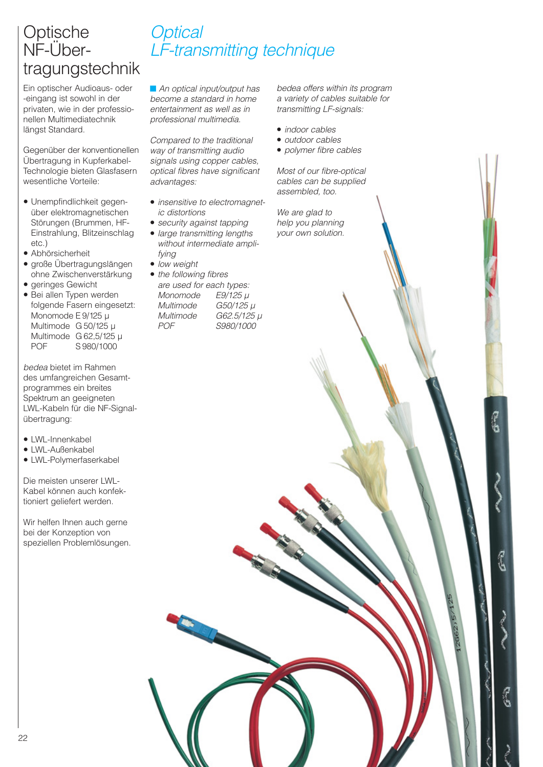# Optische NF-Über tragungstechnik

Ein optischer Audioaus- oder -eingang ist sowohl in der privaten, wie in der professionellen Multimediatechnik längst Standard.

Gegenüber der konventionellen Übertragung in Kupferkabel-Technologie bieten Glasfasern wesentliche Vorteile:

- Unempfindlichkeit gegenüber elektromagnetischen Störungen (Brummen, HF-Einstrahlung, Blitzeinschlag etc.)
- Abhörsicherheit
- große Übertragungslängen ohne Zwischenverstärkung
- geringes Gewicht
- Bei allen Typen werden folgende Fasern eingesetzt: Monomode E 9/125 µ Multimode G 50/125 µ Multimode G 62,5/125 µ POF S 980/1000

bedea bietet im Rahmen des umfangreichen Gesamt programmes ein breites Spektrum an geeigneten LWL-Kabeln für die NF-Signalübertragung:

- LWL-Innenkabel
- LWL-Außenkabel
- LWL-Polymerfaserkabel

Die meisten unserer LWL-Kabel können auch konfek tioniert geliefert werden.

Wir helfen Ihnen auch gerne bei der Konzeption von speziellen Problemlösungen.

# **Optical** LF-transmitting technique

■ An optical input/output has become a standard in home entertainment as well as in professional multimedia.

Compared to the traditional way of transmitting audio signals using copper cables, optical fibres have significant advantages:

- insensitive to electromagnetic distortions
- security against tapping
- large transmitting lengths without intermediate amplifying
- low weight
- the following fibres are used for each types: Monomode E9/125 µ Multimode G50/125 µ Multimode G62.5/125 µ POF S980/1000

bedea offers within its program a variety of cables suitable for transmitting LF-signals:

- indoor cables
- outdoor cables
- polymer fibre cables

Most of our fibre-optical cables can be supplied assembled, too.

رج

We are glad to help you planning your own solution.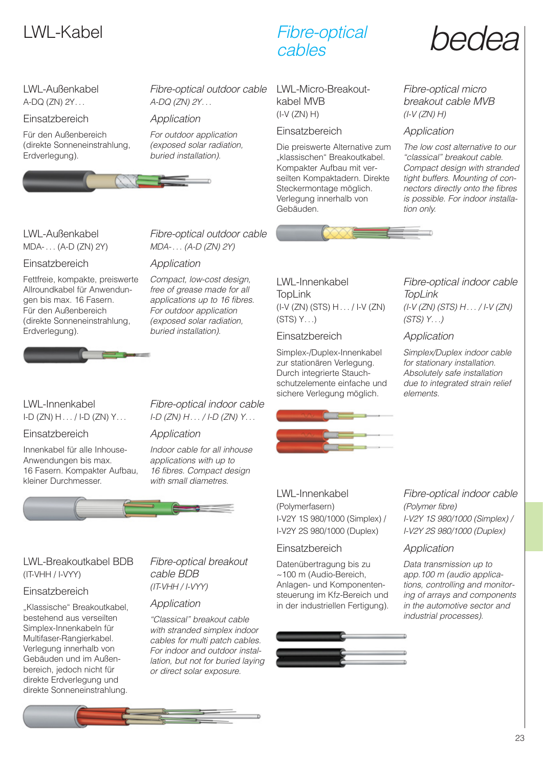#### LWL-Außenkabel A-DQ (ZN) 2Y. . .

**Einsatzbereich** 

Für den Außenbereich (direkte Sonneneinstrahlung, Erdverlegung).



Fibre-optical outdoor cable A-DQ (ZN) 2Y. . .

#### Application

For outdoor application (exposed solar radiation, buried installation).



Fibre-optical

LWL-Micro-Breakoutkabel MVB (I-V (ZN) H)

#### Einsatzbereich

Die preiswerte Alternative zum "klassischen" Breakoutkabel. Kompakter Aufbau mit ver seilten Kompaktadern. Direkte Steckermontage möglich. Verlegung innerhalb von Gebäuden.

# LWL-Kabel Fibre-optical hedea

Fibre-optical micro breakout cable MVB  $(I-V(ZN)H)$ 

#### Application

The low cost alternative to our "classical" breakout cable. Compact design with stranded tight buffers. Mounting of connectors directly onto the fibres is possible. For indoor installation only.

LWL-Außenkabel MDA- . . . (A-D (ZN) 2Y)

#### **Einsatzbereich**

Fettfreie, kompakte, preiswerte Allroundkabel für Anwendungen bis max. 16 Fasern. Für den Außenbereich (direkte Sonneneinstrahlung, Erdverlegung).



#### MDA- . . . (A-D (ZN) 2Y) Application

Compact, low-cost design, free of grease made for all applications up to 16 fibres. For outdoor application (exposed solar radiation, buried installation).

Fibre-optical outdoor cable

LWL-Innenkabel **TopLink** (I-V (ZN) (STS) H . . . / I-V (ZN)  $(STS) Y...$ 

#### **Einsatzbereich**

Simplex-/Duplex-Innenkabel zur stationären Verlegung. Durch integrierte Stauchschutzelemente einfache und sichere Verlegung möglich.



#### Fibre-optical indoor cable **TopLink** (I-V (ZN) (STS) H . . . / I-V (ZN)  $(STS)$   $Y...$

Application

Simplex/Duplex indoor cable for stationary installation. Absolutely safe installation due to integrated strain relief elements.

#### LWL-Innenkabel  $I-D(ZN) H... / I-D(ZN) Y...$

**Einsatzbereich** 

Innenkabel für alle Inhouse-Anwendungen bis max. 16 Fasern. Kompakter Aufbau, kleiner Durchmesser.

Fibre-optical indoor cable  $I-D(ZN)H.../I-D(ZN)Y...$ 

#### Application

Indoor cable for all inhouse applications with up to 16 fibres. Compact design with small diametres.



#### LWL-Innenkabel (Polymerfasern) I-V2Y 1S 980/1000 (Simplex) / I-V2Y 2S 980/1000 (Duplex)

#### **Einsatzbereich**

Datenübertragung bis zu ~100 m (Audio-Bereich, Anlagen- und Komponentensteuerung im Kfz-Bereich und in der industriellen Fertigung).



#### Fibre-optical indoor cable (Polymer fibre) I-V2Y 1S 980/1000 (Simplex) / I-V2Y 2S 980/1000 (Duplex)

#### Application

Data transmission up to app.100 m (audio applications, controlling and monitoring of arrays and components in the automotive sector and industrial processes).

#### LWL-Breakoutkabel BDB (IT-VHH / I-VYY)

#### Einsatzbereich

"Klassische" Breakoutkabel, bestehend aus verseilten Simplex-Innenkabeln für Multifaser-Rangierkabel. Verlegung innerhalb von Gebäuden und im Außenbereich, jedoch nicht für direkte Erdverlegung und direkte Sonneneinstrahlung.

#### Fibre-optical breakout cable BDB (IT-VHH / I-VYY)

#### Application

"Classical" breakout cable with stranded simplex indoor cables for multi patch cables. For indoor and outdoor installation, but not for buried laying or direct solar exposure.